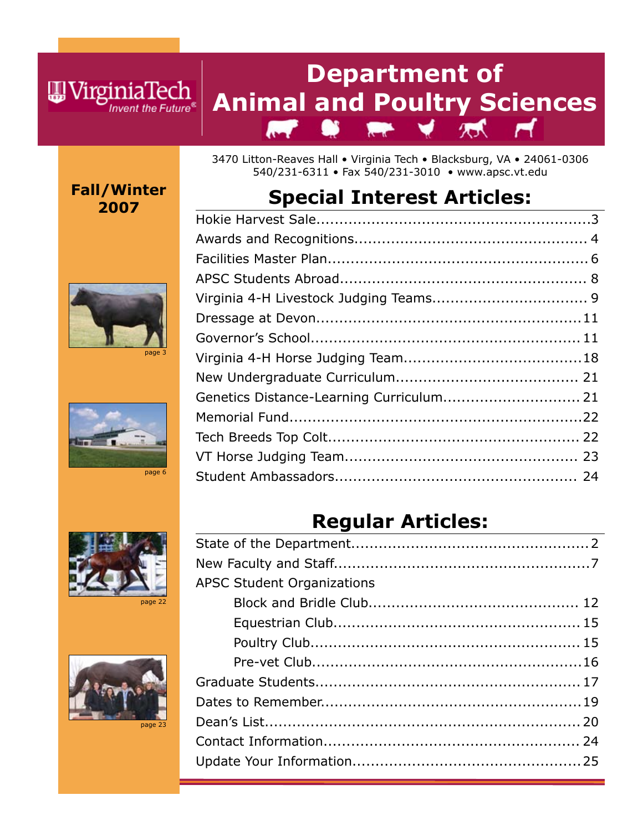**Fall/Winter 2007**

WirginiaTech

Invent the Future<sup>®</sup>









3470 Litton-Reaves Hall • Virginia Tech • Blacksburg, VA • 24061-0306 540/231-6311 • Fax 540/231-3010 • www.apsc.vt.edu

# **Special Interest Articles:**

| Genetics Distance-Learning Curriculum 21 |  |
|------------------------------------------|--|
|                                          |  |
|                                          |  |
|                                          |  |
|                                          |  |

# **Regular Articles:**

| <b>APSC Student Organizations</b> |  |
|-----------------------------------|--|
|                                   |  |
|                                   |  |
|                                   |  |
|                                   |  |
|                                   |  |
|                                   |  |
|                                   |  |
|                                   |  |
|                                   |  |
|                                   |  |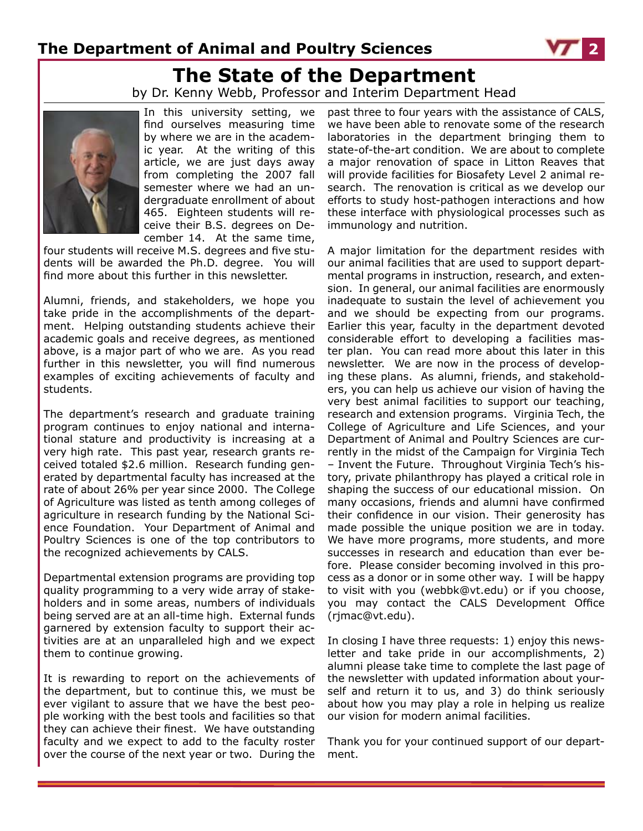# **The State of the Department**

by Dr. Kenny Webb, Professor and Interim Department Head



In this university setting, we find ourselves measuring time by where we are in the academic year. At the writing of this article, we are just days away from completing the 2007 fall semester where we had an undergraduate enrollment of about 465. Eighteen students will receive their B.S. degrees on December 14. At the same time,

four students will receive M.S. degrees and five students will be awarded the Ph.D. degree. You will find more about this further in this newsletter.

Alumni, friends, and stakeholders, we hope you take pride in the accomplishments of the department. Helping outstanding students achieve their academic goals and receive degrees, as mentioned above, is a major part of who we are. As you read further in this newsletter, you will find numerous examples of exciting achievements of faculty and students.

The department's research and graduate training program continues to enjoy national and international stature and productivity is increasing at a very high rate. This past year, research grants received totaled \$2.6 million. Research funding generated by departmental faculty has increased at the rate of about 26% per year since 2000. The College of Agriculture was listed as tenth among colleges of agriculture in research funding by the National Science Foundation. Your Department of Animal and Poultry Sciences is one of the top contributors to the recognized achievements by CALS.

Departmental extension programs are providing top quality programming to a very wide array of stakeholders and in some areas, numbers of individuals being served are at an all-time high. External funds garnered by extension faculty to support their activities are at an unparalleled high and we expect them to continue growing.

It is rewarding to report on the achievements of the department, but to continue this, we must be ever vigilant to assure that we have the best people working with the best tools and facilities so that they can achieve their finest. We have outstanding faculty and we expect to add to the faculty roster over the course of the next year or two. During the

past three to four years with the assistance of CALS, we have been able to renovate some of the research laboratories in the department bringing them to state-of-the-art condition. We are about to complete a major renovation of space in Litton Reaves that will provide facilities for Biosafety Level 2 animal research. The renovation is critical as we develop our efforts to study host-pathogen interactions and how these interface with physiological processes such as immunology and nutrition.

A major limitation for the department resides with our animal facilities that are used to support departmental programs in instruction, research, and extension. In general, our animal facilities are enormously inadequate to sustain the level of achievement you and we should be expecting from our programs. Earlier this year, faculty in the department devoted considerable effort to developing a facilities master plan. You can read more about this later in this newsletter. We are now in the process of developing these plans. As alumni, friends, and stakeholders, you can help us achieve our vision of having the very best animal facilities to support our teaching, research and extension programs. Virginia Tech, the College of Agriculture and Life Sciences, and your Department of Animal and Poultry Sciences are currently in the midst of the Campaign for Virginia Tech – Invent the Future. Throughout Virginia Tech's history, private philanthropy has played a critical role in shaping the success of our educational mission. On many occasions, friends and alumni have confirmed their confidence in our vision. Their generosity has made possible the unique position we are in today. We have more programs, more students, and more successes in research and education than ever before. Please consider becoming involved in this process as a donor or in some other way. I will be happy to visit with you (webbk@vt.edu) or if you choose, you may contact the CALS Development Office (rjmac@vt.edu).

In closing I have three requests: 1) enjoy this newsletter and take pride in our accomplishments, 2) alumni please take time to complete the last page of the newsletter with updated information about yourself and return it to us, and 3) do think seriously about how you may play a role in helping us realize our vision for modern animal facilities.

Thank you for your continued support of our department.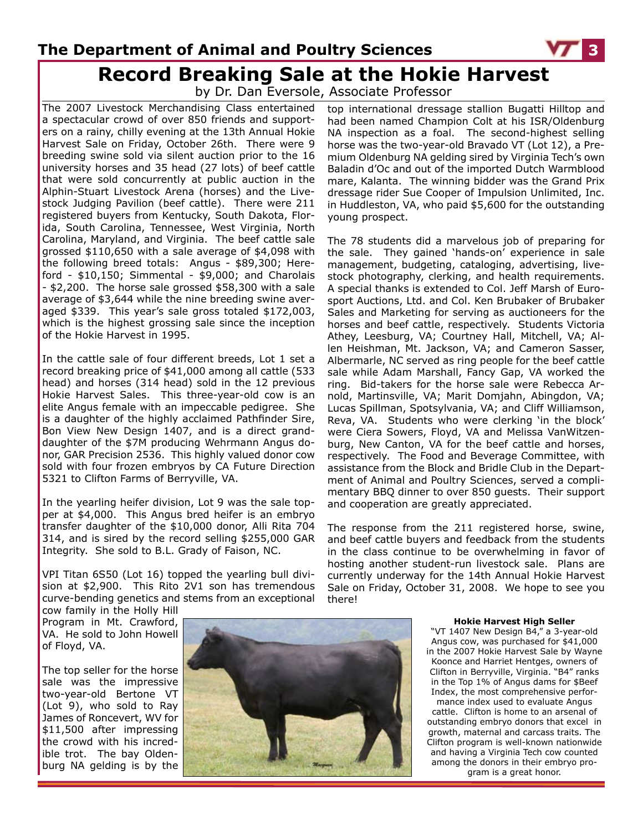## **Record Breaking Sale at the Hokie Harvest The Department of Animal and Poultry Sciences 3**

by Dr. Dan Eversole, Associate Professor

The 2007 Livestock Merchandising Class entertained a spectacular crowd of over 850 friends and supporters on a rainy, chilly evening at the 13th Annual Hokie Harvest Sale on Friday, October 26th. There were 9 breeding swine sold via silent auction prior to the 16 university horses and 35 head (27 lots) of beef cattle that were sold concurrently at public auction in the Alphin-Stuart Livestock Arena (horses) and the Livestock Judging Pavilion (beef cattle). There were 211 registered buyers from Kentucky, South Dakota, Florida, South Carolina, Tennessee, West Virginia, North Carolina, Maryland, and Virginia. The beef cattle sale grossed \$110,650 with a sale average of \$4,098 with the following breed totals: Angus - \$89,300; Hereford -  $$10,150$ ; Simmental -  $$9,000$ ; and Charolais - \$2,200. The horse sale grossed \$58,300 with a sale average of \$3,644 while the nine breeding swine averaged \$339. This year's sale gross totaled \$172,003, which is the highest grossing sale since the inception of the Hokie Harvest in 1995.

In the cattle sale of four different breeds, Lot 1 set a record breaking price of \$41,000 among all cattle (533 head) and horses (314 head) sold in the 12 previous Hokie Harvest Sales. This three-year-old cow is an elite Angus female with an impeccable pedigree. She is a daughter of the highly acclaimed Pathfinder Sire, Bon View New Design 1407, and is a direct granddaughter of the \$7M producing Wehrmann Angus donor, GAR Precision 2536. This highly valued donor cow sold with four frozen embryos by CA Future Direction 5321 to Clifton Farms of Berryville, VA.

In the yearling heifer division, Lot 9 was the sale topper at \$4,000. This Angus bred heifer is an embryo transfer daughter of the \$10,000 donor, Alli Rita 704 314, and is sired by the record selling \$255,000 GAR Integrity. She sold to B.L. Grady of Faison, NC.

VPI Titan 6S50 (Lot 16) topped the yearling bull division at \$2,900. This Rito 2V1 son has tremendous curve-bending genetics and stems from an exceptional

cow family in the Holly Hill Program in Mt. Crawford, VA. He sold to John Howell of Floyd, VA.

The top seller for the horse sale was the impressive two-year-old Bertone VT (Lot 9), who sold to Ray James of Roncevert, WV for \$11,500 after impressing the crowd with his incredible trot. The bay Oldenburg NA gelding is by the



top international dressage stallion Bugatti Hilltop and had been named Champion Colt at his ISR/Oldenburg NA inspection as a foal. The second-highest selling horse was the two-year-old Bravado VT (Lot 12), a Premium Oldenburg NA gelding sired by Virginia Tech's own Baladin d'Oc and out of the imported Dutch Warmblood mare, Kalanta. The winning bidder was the Grand Prix dressage rider Sue Cooper of Impulsion Unlimited, Inc. in Huddleston, VA, who paid \$5,600 for the outstanding young prospect.

The 78 students did a marvelous job of preparing for the sale. They gained 'hands-on' experience in sale management, budgeting, cataloging, advertising, livestock photography, clerking, and health requirements. A special thanks is extended to Col. Jeff Marsh of Eurosport Auctions, Ltd. and Col. Ken Brubaker of Brubaker Sales and Marketing for serving as auctioneers for the horses and beef cattle, respectively. Students Victoria Athey, Leesburg, VA; Courtney Hall, Mitchell, VA; Allen Heishman, Mt. Jackson, VA; and Cameron Sasser, Albermarle, NC served as ring people for the beef cattle sale while Adam Marshall, Fancy Gap, VA worked the ring. Bid-takers for the horse sale were Rebecca Arnold, Martinsville, VA; Marit Domjahn, Abingdon, VA; Lucas Spillman, Spotsylvania, VA; and Cliff Williamson, Reva, VA. Students who were clerking 'in the block' were Ciera Sowers, Floyd, VA and Melissa VanWitzenburg, New Canton, VA for the beef cattle and horses, respectively. The Food and Beverage Committee, with assistance from the Block and Bridle Club in the Department of Animal and Poultry Sciences, served a complimentary BBQ dinner to over 850 guests. Their support and cooperation are greatly appreciated.

The response from the 211 registered horse, swine, and beef cattle buyers and feedback from the students in the class continue to be overwhelming in favor of hosting another student-run livestock sale. Plans are currently underway for the 14th Annual Hokie Harvest Sale on Friday, October 31, 2008. We hope to see you there!

#### **Hokie Harvest High Seller**

"VT 1407 New Design B4," a 3-year-old Angus cow, was purchased for \$41,000 in the 2007 Hokie Harvest Sale by Wayne Koonce and Harriet Hentges, owners of Clifton in Berryville, Virginia. "B4" ranks in the Top 1% of Angus dams for \$Beef Index, the most comprehensive performance index used to evaluate Angus cattle. Clifton is home to an arsenal of outstanding embryo donors that excel in growth, maternal and carcass traits. The Clifton program is well-known nationwide and having a Virginia Tech cow counted among the donors in their embryo program is a great honor.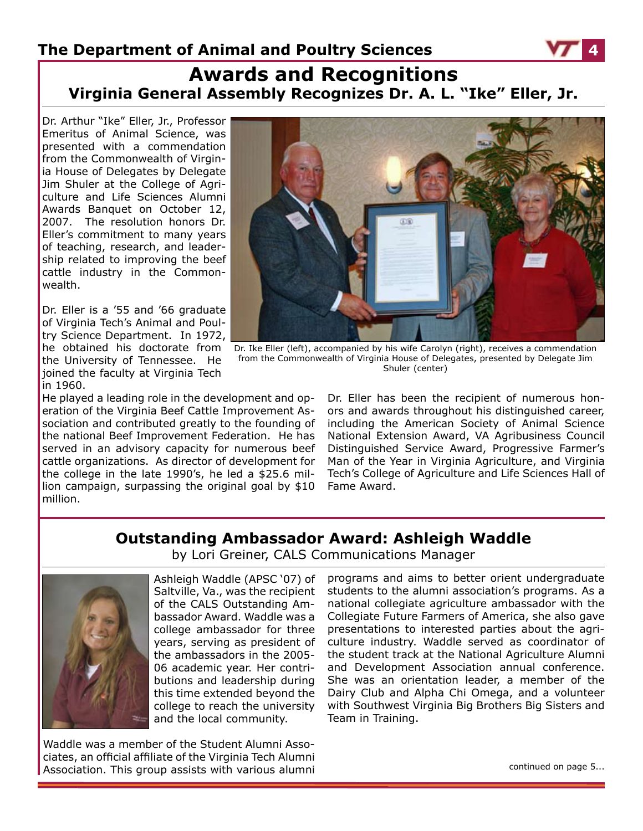## **Awards and Recognitions Virginia General Assembly Recognizes Dr. A. L. "Ike" Eller, Jr.**

Dr. Arthur "Ike" Eller, Jr., Professor Emeritus of Animal Science, was presented with a commendation from the Commonwealth of Virginia House of Delegates by Delegate Jim Shuler at the College of Agriculture and Life Sciences Alumni Awards Banquet on October 12, 2007. The resolution honors Dr. Eller's commitment to many years of teaching, research, and leadership related to improving the beef cattle industry in the Commonwealth.

Dr. Eller is a '55 and '66 graduate of Virginia Tech's Animal and Poultry Science Department. In 1972, he obtained his doctorate from the University of Tennessee. He joined the faculty at Virginia Tech in 1960.

He played a leading role in the development and operation of the Virginia Beef Cattle Improvement Association and contributed greatly to the founding of the national Beef Improvement Federation. He has served in an advisory capacity for numerous beef cattle organizations. As director of development for the college in the late 1990's, he led a \$25.6 million campaign, surpassing the original goal by \$10 million.



Dr. Ike Eller (left), accompanied by his wife Carolyn (right), receives a commendation from the Commonwealth of Virginia House of Delegates, presented by Delegate Jim Shuler (center)

Dr. Eller has been the recipient of numerous honors and awards throughout his distinguished career, including the American Society of Animal Science National Extension Award, VA Agribusiness Council Distinguished Service Award, Progressive Farmer's Man of the Year in Virginia Agriculture, and Virginia Tech's College of Agriculture and Life Sciences Hall of Fame Award.

### **Outstanding Ambassador Award: Ashleigh Waddle**

by Lori Greiner, CALS Communications Manager



Ashleigh Waddle (APSC '07) of Saltville, Va., was the recipient of the CALS Outstanding Ambassador Award. Waddle was a college ambassador for three years, serving as president of the ambassadors in the 2005- 06 academic year. Her contributions and leadership during this time extended beyond the college to reach the university and the local community.

Waddle was a member of the Student Alumni Associates, an official affiliate of the Virginia Tech Alumni Association. This group assists with various alumni

programs and aims to better orient undergraduate students to the alumni association's programs. As a national collegiate agriculture ambassador with the Collegiate Future Farmers of America, she also gave presentations to interested parties about the agriculture industry. Waddle served as coordinator of the student track at the National Agriculture Alumni and Development Association annual conference. She was an orientation leader, a member of the Dairy Club and Alpha Chi Omega, and a volunteer with Southwest Virginia Big Brothers Big Sisters and Team in Training.

continued on page 5...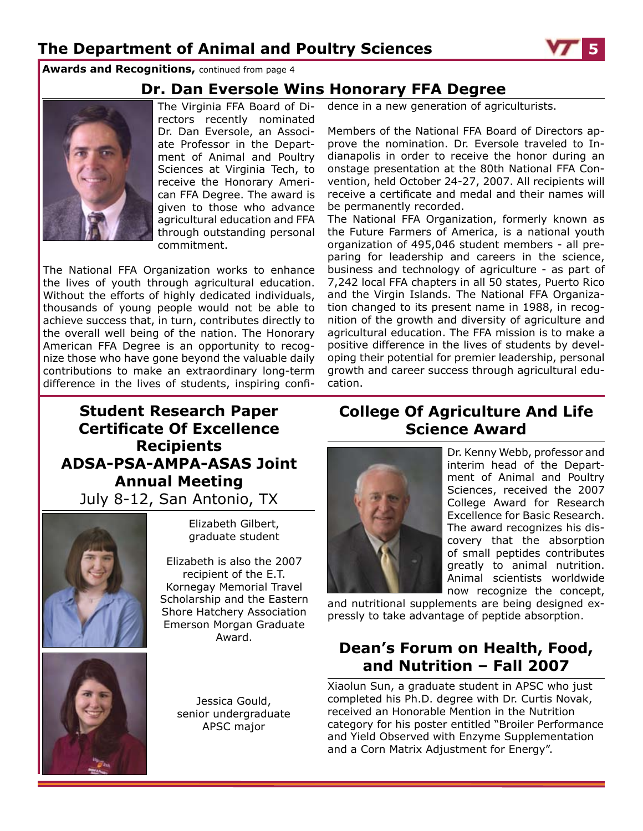**Awards and Recognitions,** continued from page 4

### **Dr. Dan Eversole Wins Honorary FFA Degree**



The Virginia FFA Board of Directors recently nominated Dr. Dan Eversole, an Associate Professor in the Department of Animal and Poultry Sciences at Virginia Tech, to receive the Honorary American FFA Degree. The award is given to those who advance agricultural education and FFA through outstanding personal commitment.

The National FFA Organization works to enhance the lives of youth through agricultural education. Without the efforts of highly dedicated individuals, thousands of young people would not be able to achieve success that, in turn, contributes directly to the overall well being of the nation. The Honorary American FFA Degree is an opportunity to recognize those who have gone beyond the valuable daily contributions to make an extraordinary long-term difference in the lives of students, inspiring confidence in a new generation of agriculturists.

Members of the National FFA Board of Directors approve the nomination. Dr. Eversole traveled to Indianapolis in order to receive the honor during an onstage presentation at the 80th National FFA Convention, held October 24-27, 2007. All recipients will receive a certificate and medal and their names will be permanently recorded.

The National FFA Organization, formerly known as the Future Farmers of America, is a national youth organization of 495,046 student members - all preparing for leadership and careers in the science, business and technology of agriculture - as part of 7,242 local FFA chapters in all 50 states, Puerto Rico and the Virgin Islands. The National FFA Organization changed to its present name in 1988, in recognition of the growth and diversity of agriculture and agricultural education. The FFA mission is to make a positive difference in the lives of students by developing their potential for premier leadership, personal growth and career success through agricultural education.

## **College Of Agriculture And Life Science Award**



Dr. Kenny Webb, professor and interim head of the Department of Animal and Poultry Sciences, received the 2007 College Award for Research Excellence for Basic Research. The award recognizes his discovery that the absorption of small peptides contributes greatly to animal nutrition. Animal scientists worldwide now recognize the concept,

and nutritional supplements are being designed expressly to take advantage of peptide absorption.

### **Dean's Forum on Health, Food, and Nutrition – Fall 2007**

Xiaolun Sun, a graduate student in APSC who just completed his Ph.D. degree with Dr. Curtis Novak, received an Honorable Mention in the Nutrition category for his poster entitled "Broiler Performance and Yield Observed with Enzyme Supplementation and a Corn Matrix Adjustment for Energy".

## **Student Research Paper Certificate Of Excellence Recipients ADSA-PSA-AMPA-ASAS Joint Annual Meeting** July 8-12, San Antonio, TX



Elizabeth Gilbert, graduate student

Elizabeth is also the 2007 recipient of the E.T. Kornegay Memorial Travel Scholarship and the Eastern Shore Hatchery Association Emerson Morgan Graduate Award.



Jessica Gould, senior undergraduate APSC major

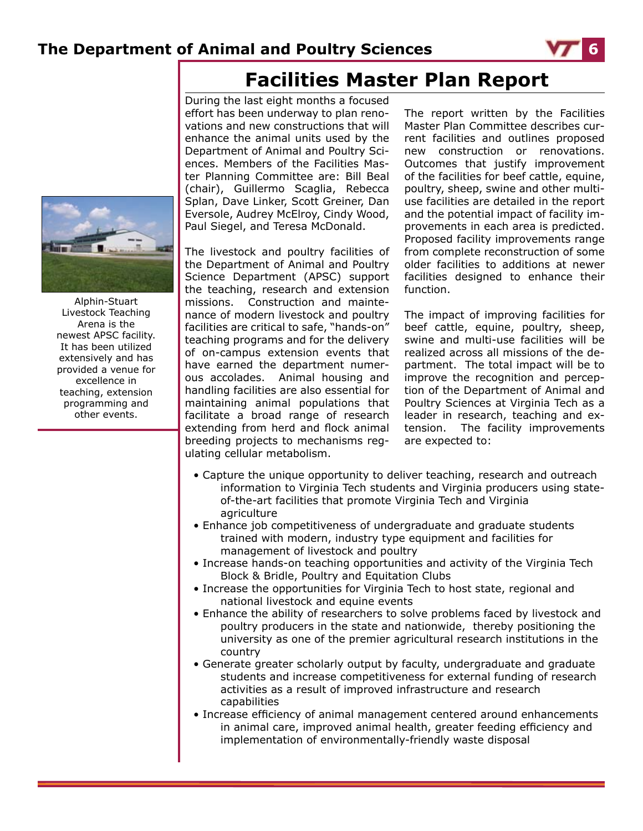

# **Facilities Master Plan Report**

During the last eight months a focused effort has been underway to plan renovations and new constructions that will enhance the animal units used by the Department of Animal and Poultry Sciences. Members of the Facilities Master Planning Committee are: Bill Beal (chair), Guillermo Scaglia, Rebecca Splan, Dave Linker, Scott Greiner, Dan Eversole, Audrey McElroy, Cindy Wood, Paul Siegel, and Teresa McDonald.

The livestock and poultry facilities of the Department of Animal and Poultry Science Department (APSC) support the teaching, research and extension missions. Construction and maintenance of modern livestock and poultry facilities are critical to safe, "hands-on" teaching programs and for the delivery of on-campus extension events that have earned the department numerous accolades. Animal housing and handling facilities are also essential for maintaining animal populations that facilitate a broad range of research extending from herd and flock animal breeding projects to mechanisms regulating cellular metabolism.

The report written by the Facilities Master Plan Committee describes current facilities and outlines proposed new construction or renovations. Outcomes that justify improvement of the facilities for beef cattle, equine, poultry, sheep, swine and other multiuse facilities are detailed in the report and the potential impact of facility improvements in each area is predicted. Proposed facility improvements range from complete reconstruction of some older facilities to additions at newer facilities designed to enhance their function.

The impact of improving facilities for beef cattle, equine, poultry, sheep, swine and multi-use facilities will be realized across all missions of the department. The total impact will be to improve the recognition and perception of the Department of Animal and Poultry Sciences at Virginia Tech as a leader in research, teaching and extension. The facility improvements are expected to:

- Capture the unique opportunity to deliver teaching, research and outreach information to Virginia Tech students and Virginia producers using stateof-the-art facilities that promote Virginia Tech and Virginia agriculture
- Enhance job competitiveness of undergraduate and graduate students trained with modern, industry type equipment and facilities for management of livestock and poultry
- Increase hands-on teaching opportunities and activity of the Virginia Tech Block & Bridle, Poultry and Equitation Clubs
- Increase the opportunities for Virginia Tech to host state, regional and national livestock and equine events
- Enhance the ability of researchers to solve problems faced by livestock and poultry producers in the state and nationwide, thereby positioning the university as one of the premier agricultural research institutions in the country
- Generate greater scholarly output by faculty, undergraduate and graduate students and increase competitiveness for external funding of research activities as a result of improved infrastructure and research capabilities
- Increase efficiency of animal management centered around enhancements in animal care, improved animal health, greater feeding efficiency and implementation of environmentally-friendly waste disposal



Alphin-Stuart Livestock Teaching Arena is the newest APSC facility. It has been utilized extensively and has provided a venue for excellence in teaching, extension programming and other events.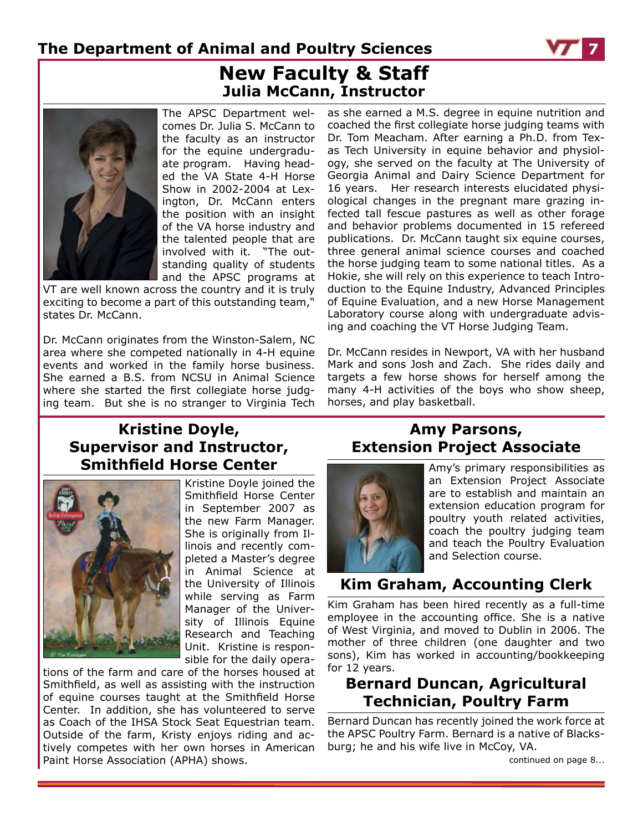

## **New Faculty & Staff Julia McCann, Instructor**



The APSC Department welcomes Dr. Julia S. McCann to the faculty as an instructor for the equine undergraduate program. Having headed the VA State 4-H Horse Show in 2002-2004 at Lexington, Dr. McCann enters the position with an insight of the VA horse industry and the talented people that are involved with it. "The outstanding quality of students and the APSC programs at

VT are well known across the country and it is truly exciting to become a part of this outstanding team," states Dr. McCann.

Dr. McCann originates from the Winston-Salem, NC area where she competed nationally in 4-H equine events and worked in the family horse business. She earned a B.S. from NCSU in Animal Science where she started the first collegiate horse judging team. But she is no stranger to Virginia Tech

as she earned a M.S. degree in equine nutrition and coached the first collegiate horse judging teams with Dr. Tom Meacham. After earning a Ph.D. from Texas Tech University in equine behavior and physiology, she served on the faculty at The University of Georgia Animal and Dairy Science Department for 16 years. Her research interests elucidated physiological changes in the pregnant mare grazing infected tall fescue pastures as well as other forage and behavior problems documented in 15 refereed publications. Dr. McCann taught six equine courses, three general animal science courses and coached the horse judging team to some national titles. As a Hokie, she will rely on this experience to teach Introduction to the Equine Industry, Advanced Principles of Equine Evaluation, and a new Horse Management Laboratory course along with undergraduate advising and coaching the VT Horse Judging Team.

Dr. McCann resides in Newport, VA with her husband Mark and sons Josh and Zach. She rides daily and targets a few horse shows for herself among the many 4-H activities of the boys who show sheep, horses, and play basketball.

### **Kristine Doyle, Supervisor and Instructor, Smithfield Horse Center**



Kristine Doyle joined the Smithfield Horse Center in September 2007 as the new Farm Manager. She is originally from Illinois and recently completed a Master's degree in Animal Science at the University of Illinois while serving as Farm Manager of the University of Illinois Equine Research and Teaching Unit. Kristine is responsible for the daily opera-

tions of the farm and care of the horses housed at Smithfield, as well as assisting with the instruction of equine courses taught at the Smithfield Horse Center. In addition, she has volunteered to serve as Coach of the IHSA Stock Seat Equestrian team. Outside of the farm, Kristy enjoys riding and actively competes with her own horses in American Paint Horse Association (APHA) shows.

### **Amy Parsons, Extension Project Associate**



Amy's primary responsibilities as an Extension Project Associate are to establish and maintain an extension education program for poultry youth related activities, coach the poultry judging team and teach the Poultry Evaluation and Selection course.

### **Kim Graham, Accounting Clerk**

Kim Graham has been hired recently as a full-time employee in the accounting office. She is a native of West Virginia, and moved to Dublin in 2006. The mother of three children (one daughter and two sons), Kim has worked in accounting/bookkeeping for 12 years.

### **Bernard Duncan, Agricultural Technician, Poultry Farm**

Bernard Duncan has recently joined the work force at the APSC Poultry Farm. Bernard is a native of Blacksburg; he and his wife live in McCoy, VA.

continued on page 8...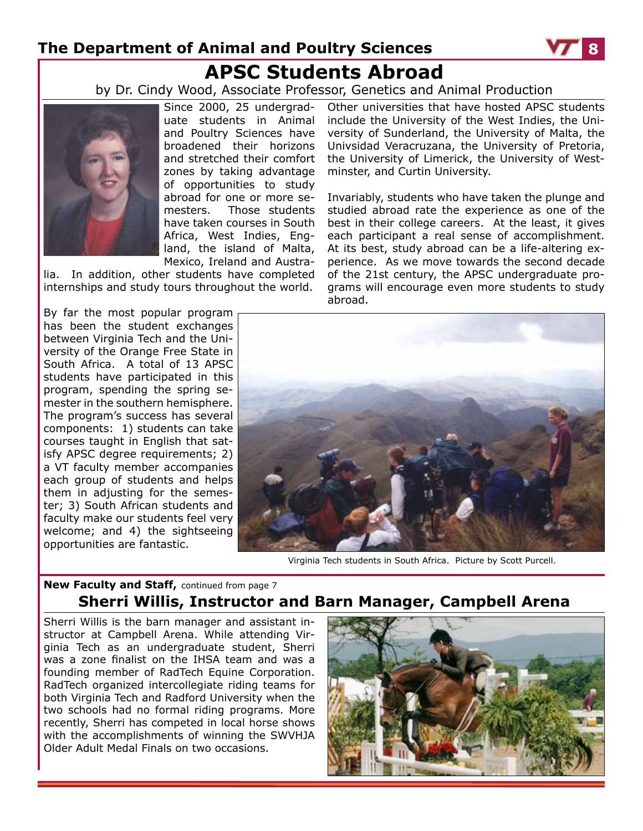# **The Department of Animal and Poultry Sciences 8 APSC Students Abroad**

by Dr. Cindy Wood, Associate Professor, Genetics and Animal Production



Since 2000, 25 undergraduate students in Animal and Poultry Sciences have broadened their horizons and stretched their comfort zones by taking advantage of opportunities to study abroad for one or more semesters. Those students have taken courses in South Africa, West Indies, England, the island of Malta, Mexico, Ireland and Austra-

lia. In addition, other students have completed internships and study tours throughout the world.

By far the most popular program has been the student exchanges between Virginia Tech and the University of the Orange Free State in South Africa. A total of 13 APSC students have participated in this program, spending the spring semester in the southern hemisphere. The program's success has several components: 1) students can take courses taught in English that satisfy APSC degree requirements; 2) a VT faculty member accompanies each group of students and helps them in adjusting for the semester; 3) South African students and faculty make our students feel very welcome; and 4) the sightseeing opportunities are fantastic.

Other universities that have hosted APSC students include the University of the West Indies, the University of Sunderland, the University of Malta, the Univsidad Veracruzana, the University of Pretoria, the University of Limerick, the University of Westminster, and Curtin University.

Invariably, students who have taken the plunge and studied abroad rate the experience as one of the best in their college careers. At the least, it gives each participant a real sense of accomplishment. At its best, study abroad can be a life-altering experience. As we move towards the second decade of the 21st century, the APSC undergraduate programs will encourage even more students to study abroad.



Virginia Tech students in South Africa. Picture by Scott Purcell.

### **New Faculty and Staff,** continued from page 7 **Sherri Willis, Instructor and Barn Manager, Campbell Arena**

Sherri Willis is the barn manager and assistant instructor at Campbell Arena. While attending Virginia Tech as an undergraduate student, Sherri was a zone finalist on the IHSA team and was a founding member of RadTech Equine Corporation. RadTech organized intercollegiate riding teams for both Virginia Tech and Radford University when the two schools had no formal riding programs. More recently, Sherri has competed in local horse shows with the accomplishments of winning the SWVHJA Older Adult Medal Finals on two occasions.



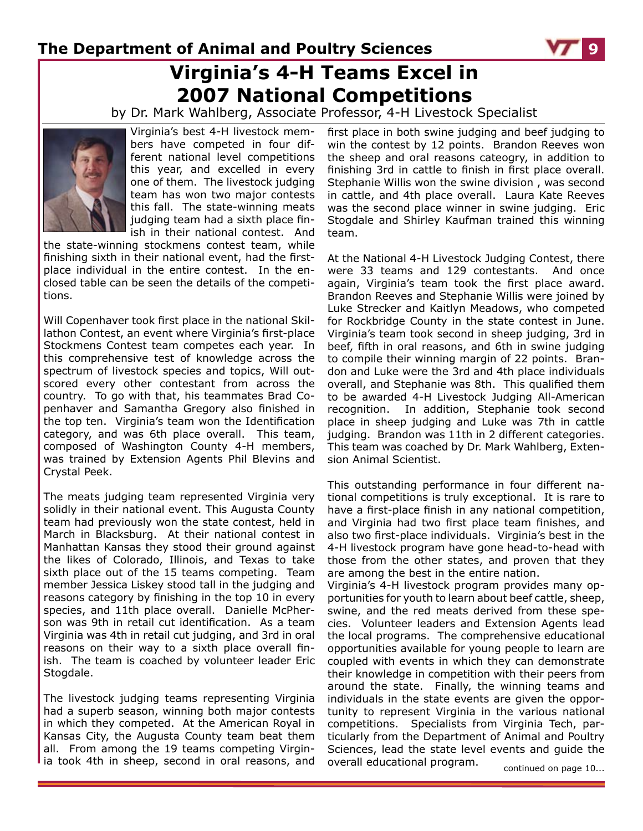## **Virginia's 4-H Teams Excel in 2007 National Competitions**

by Dr. Mark Wahlberg, Associate Professor, 4-H Livestock Specialist



Virginia's best 4-H livestock members have competed in four different national level competitions this year, and excelled in every one of them. The livestock judging team has won two major contests this fall. The state-winning meats judging team had a sixth place finish in their national contest. And

the state-winning stockmens contest team, while finishing sixth in their national event, had the firstplace individual in the entire contest. In the enclosed table can be seen the details of the competitions.

Will Copenhaver took first place in the national Skillathon Contest, an event where Virginia's first-place Stockmens Contest team competes each year. In this comprehensive test of knowledge across the spectrum of livestock species and topics, Will outscored every other contestant from across the country. To go with that, his teammates Brad Copenhaver and Samantha Gregory also finished in the top ten. Virginia's team won the Identification category, and was 6th place overall. This team, composed of Washington County 4-H members, was trained by Extension Agents Phil Blevins and Crystal Peek.

The meats judging team represented Virginia very solidly in their national event. This Augusta County team had previously won the state contest, held in March in Blacksburg. At their national contest in Manhattan Kansas they stood their ground against the likes of Colorado, Illinois, and Texas to take sixth place out of the 15 teams competing. Team member Jessica Liskey stood tall in the judging and reasons category by finishing in the top 10 in every species, and 11th place overall. Danielle McPherson was 9th in retail cut identification. As a team Virginia was 4th in retail cut judging, and 3rd in oral reasons on their way to a sixth place overall finish. The team is coached by volunteer leader Eric Stogdale.

The livestock judging teams representing Virginia had a superb season, winning both major contests in which they competed. At the American Royal in Kansas City, the Augusta County team beat them all. From among the 19 teams competing Virginia took 4th in sheep, second in oral reasons, and

first place in both swine judging and beef judging to win the contest by 12 points. Brandon Reeves won the sheep and oral reasons cateogry, in addition to finishing 3rd in cattle to finish in first place overall. Stephanie Willis won the swine division , was second in cattle, and 4th place overall. Laura Kate Reeves was the second place winner in swine judging. Eric Stogdale and Shirley Kaufman trained this winning team.

At the National 4-H Livestock Judging Contest, there were 33 teams and 129 contestants. And once again, Virginia's team took the first place award. Brandon Reeves and Stephanie Willis were joined by Luke Strecker and Kaitlyn Meadows, who competed for Rockbridge County in the state contest in June. Virginia's team took second in sheep judging, 3rd in beef, fifth in oral reasons, and 6th in swine judging to compile their winning margin of 22 points. Brandon and Luke were the 3rd and 4th place individuals overall, and Stephanie was 8th. This qualified them to be awarded 4-H Livestock Judging All-American recognition. In addition, Stephanie took second place in sheep judging and Luke was 7th in cattle judging. Brandon was 11th in 2 different categories. This team was coached by Dr. Mark Wahlberg, Extension Animal Scientist.

This outstanding performance in four different national competitions is truly exceptional. It is rare to have a first-place finish in any national competition, and Virginia had two first place team finishes, and also two first-place individuals. Virginia's best in the 4-H livestock program have gone head-to-head with those from the other states, and proven that they are among the best in the entire nation.

Virginia's 4-H livestock program provides many opportunities for youth to learn about beef cattle, sheep, swine, and the red meats derived from these species. Volunteer leaders and Extension Agents lead the local programs. The comprehensive educational opportunities available for young people to learn are coupled with events in which they can demonstrate their knowledge in competition with their peers from around the state. Finally, the winning teams and individuals in the state events are given the opportunity to represent Virginia in the various national competitions. Specialists from Virginia Tech, particularly from the Department of Animal and Poultry Sciences, lead the state level events and guide the overall educational program. continued on page 10...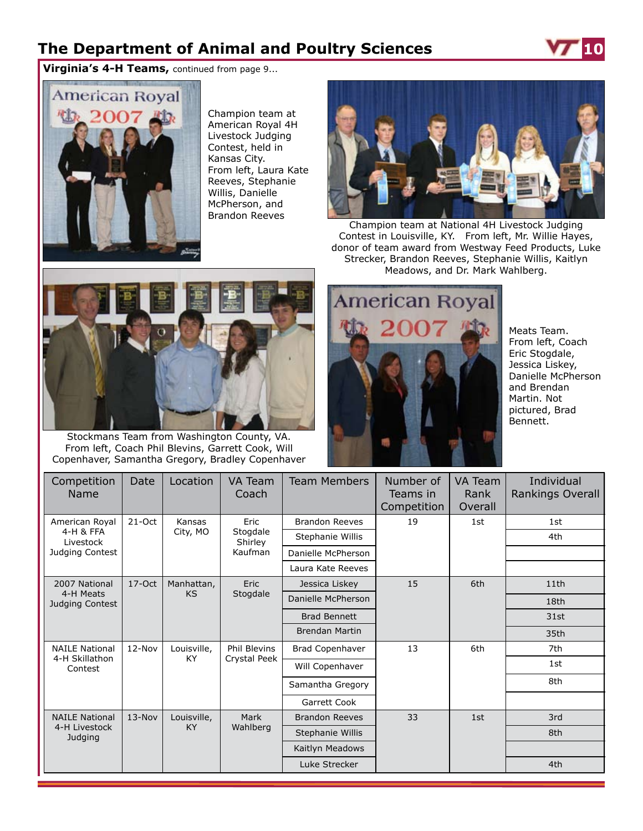**Virginia's 4-H Teams,** continued from page 9...



Champion team at American Royal 4H Livestock Judging Contest, held in Kansas City. From left, Laura Kate Reeves, Stephanie Willis, Danielle McPherson, and Brandon Reeves



Champion team at National 4H Livestock Judging Contest in Louisville, KY. From left, Mr. Willie Hayes, donor of team award from Westway Feed Products, Luke Strecker, Brandon Reeves, Stephanie Willis, Kaitlyn Meadows, and Dr. Mark Wahlberg.



Stockmans Team from Washington County, VA. From left, Coach Phil Blevins, Garrett Cook, Will Copenhaver, Samantha Gregory, Bradley Copenhaver



Meats Team. From left, Coach Eric Stogdale, Jessica Liskey, Danielle McPherson and Brendan Martin. Not pictured, Brad Bennett.

| Competition<br>Name                                         | Date                          | Location           | VA Team<br>Coach                       | <b>Team Members</b>    | Number of<br>Teams in<br>Competition | <b>VA Team</b><br>Rank<br>Overall | Individual<br>Rankings Overall |
|-------------------------------------------------------------|-------------------------------|--------------------|----------------------------------------|------------------------|--------------------------------------|-----------------------------------|--------------------------------|
| American Royal<br>4-H & FFA<br>Livestock<br>Judging Contest | $21 - Oct$                    | Kansas<br>City, MO | Eric<br>Stogdale<br>Shirley<br>Kaufman | <b>Brandon Reeves</b>  | 19                                   | 1st                               | 1st                            |
|                                                             |                               |                    |                                        | Stephanie Willis       |                                      |                                   | 4th                            |
|                                                             |                               |                    |                                        | Danielle McPherson     |                                      |                                   |                                |
|                                                             |                               |                    |                                        | Laura Kate Reeves      |                                      |                                   |                                |
| 2007 National<br>4-H Meats<br>Judging Contest               | $17-Oct$                      | Manhattan,         | <b>Eric</b>                            | Jessica Liskey         | 15                                   | 6th                               | 11th                           |
|                                                             | <b>KS</b>                     | Stogdale           |                                        | Danielle McPherson     |                                      |                                   | 18th                           |
|                                                             |                               |                    |                                        | <b>Brad Bennett</b>    |                                      |                                   | 31st                           |
|                                                             |                               |                    | <b>Brendan Martin</b>                  |                        |                                      | 35th                              |                                |
| <b>NAILE National</b><br>4-H Skillathon<br>Contest          | 12-Nov<br>KY.                 | Louisville,        | <b>Phil Blevins</b><br>Crystal Peek    | <b>Brad Copenhaver</b> | 13                                   | 6th                               | 7th                            |
|                                                             |                               |                    |                                        | Will Copenhaver        |                                      |                                   |                                |
|                                                             |                               |                    |                                        | Samantha Gregory       |                                      |                                   | 8th                            |
|                                                             |                               |                    |                                        | Garrett Cook           |                                      |                                   |                                |
| <b>NAILE National</b><br>4-H Livestock<br>Judging           | $13-Nov$<br>Louisville,<br>KY |                    | Mark<br>Wahlberg                       | <b>Brandon Reeves</b>  | 33                                   | 1st                               | 3rd                            |
|                                                             |                               |                    |                                        | Stephanie Willis       |                                      |                                   | 8th                            |
|                                                             |                               |                    |                                        | Kaitlyn Meadows        |                                      |                                   |                                |
|                                                             |                               |                    |                                        | Luke Strecker          |                                      |                                   | 4th                            |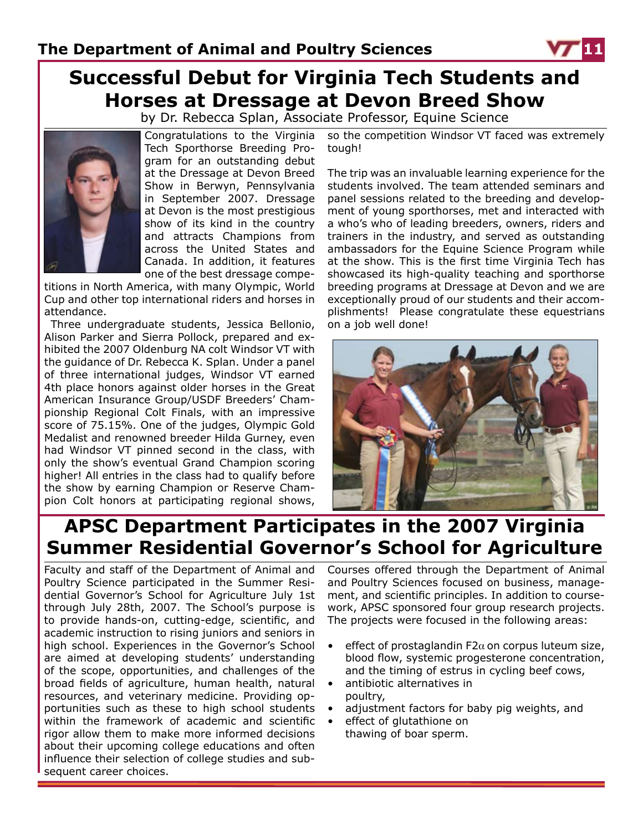# **Successful Debut for Virginia Tech Students and Horses at Dressage at Devon Breed Show**

by Dr. Rebecca Splan, Associate Professor, Equine Science



Congratulations to the Virginia Tech Sporthorse Breeding Program for an outstanding debut at the Dressage at Devon Breed Show in Berwyn, Pennsylvania in September 2007. Dressage at Devon is the most prestigious show of its kind in the country and attracts Champions from across the United States and Canada. In addition, it features one of the best dressage compe-

titions in North America, with many Olympic, World Cup and other top international riders and horses in attendance.

 Three undergraduate students, Jessica Bellonio, Alison Parker and Sierra Pollock, prepared and exhibited the 2007 Oldenburg NA colt Windsor VT with the guidance of Dr. Rebecca K. Splan. Under a panel of three international judges, Windsor VT earned 4th place honors against older horses in the Great American Insurance Group/USDF Breeders' Championship Regional Colt Finals, with an impressive score of 75.15%. One of the judges, Olympic Gold Medalist and renowned breeder Hilda Gurney, even had Windsor VT pinned second in the class, with only the show's eventual Grand Champion scoring higher! All entries in the class had to qualify before the show by earning Champion or Reserve Champion Colt honors at participating regional shows,

so the competition Windsor VT faced was extremely tough!

The trip was an invaluable learning experience for the students involved. The team attended seminars and panel sessions related to the breeding and development of young sporthorses, met and interacted with a who's who of leading breeders, owners, riders and trainers in the industry, and served as outstanding ambassadors for the Equine Science Program while at the show. This is the first time Virginia Tech has showcased its high-quality teaching and sporthorse breeding programs at Dressage at Devon and we are exceptionally proud of our students and their accomplishments! Please congratulate these equestrians on a job well done!



## **APSC Department Participates in the 2007 Virginia Summer Residential Governor's School for Agriculture**

Faculty and staff of the Department of Animal and Poultry Science participated in the Summer Residential Governor's School for Agriculture July 1st through July 28th, 2007. The School's purpose is to provide hands-on, cutting-edge, scientific, and academic instruction to rising juniors and seniors in high school. Experiences in the Governor's School are aimed at developing students' understanding of the scope, opportunities, and challenges of the broad fields of agriculture, human health, natural resources, and veterinary medicine. Providing opportunities such as these to high school students within the framework of academic and scientific rigor allow them to make more informed decisions about their upcoming college educations and often influence their selection of college studies and subsequent career choices.

Courses offered through the Department of Animal and Poultry Sciences focused on business, management, and scientific principles. In addition to coursework, APSC sponsored four group research projects. The projects were focused in the following areas:

- effect of prostaglandin F2 $\alpha$  on corpus luteum size, blood flow, systemic progesterone concentration, and the timing of estrus in cycling beef cows,
- antibiotic alternatives in poultry,
- adjustment factors for baby pig weights, and
- effect of glutathione on thawing of boar sperm.

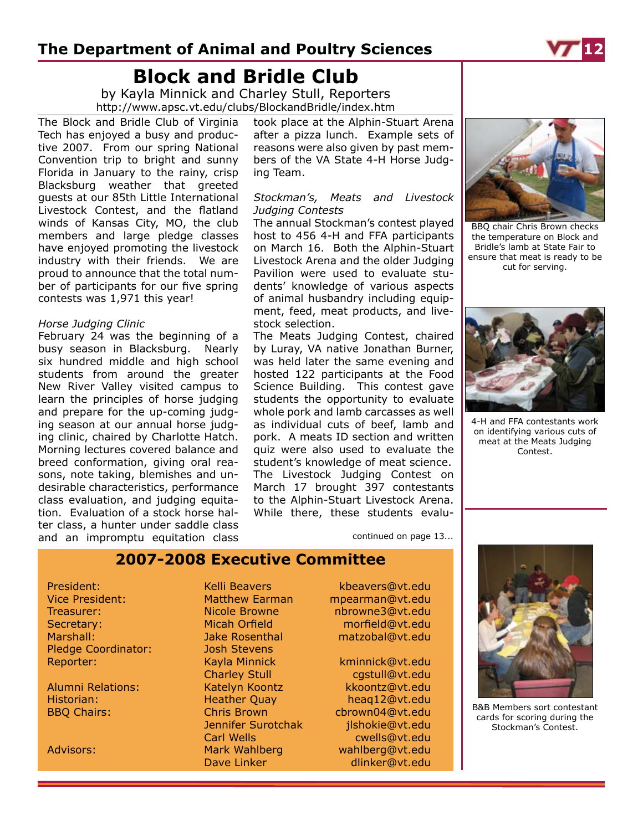# **Block and Bridle Club**

by Kayla Minnick and Charley Stull, Reporters http://www.apsc.vt.edu/clubs/BlockandBridle/index.htm

The Block and Bridle Club of Virginia Tech has enjoyed a busy and productive 2007. From our spring National Convention trip to bright and sunny Florida in January to the rainy, crisp Blacksburg weather that greeted guests at our 85th Little International Livestock Contest, and the flatland winds of Kansas City, MO, the club members and large pledge classes have enjoyed promoting the livestock industry with their friends. We are proud to announce that the total number of participants for our five spring contests was 1,971 this year!

#### *Horse Judging Clinic*

February 24 was the beginning of a busy season in Blacksburg. Nearly six hundred middle and high school students from around the greater New River Valley visited campus to learn the principles of horse judging and prepare for the up-coming judging season at our annual horse judging clinic, chaired by Charlotte Hatch. Morning lectures covered balance and breed conformation, giving oral reasons, note taking, blemishes and undesirable characteristics, performance class evaluation, and judging equitation. Evaluation of a stock horse halter class, a hunter under saddle class and an impromptu equitation class

took place at the Alphin-Stuart Arena after a pizza lunch. Example sets of reasons were also given by past members of the VA State 4-H Horse Judging Team.

#### *Stockman's, Meats and Livestock Judging Contests*

The annual Stockman's contest played host to 456 4-H and FFA participants on March 16. Both the Alphin-Stuart Livestock Arena and the older Judging Pavilion were used to evaluate students' knowledge of various aspects of animal husbandry including equipment, feed, meat products, and livestock selection.

The Meats Judging Contest, chaired by Luray, VA native Jonathan Burner, was held later the same evening and hosted 122 participants at the Food Science Building. This contest gave students the opportunity to evaluate whole pork and lamb carcasses as well as individual cuts of beef, lamb and pork. A meats ID section and written quiz were also used to evaluate the student's knowledge of meat science. The Livestock Judging Contest on March 17 brought 397 contestants to the Alphin-Stuart Livestock Arena. While there, these students evalu-

continued on page 13...



BBQ chair Chris Brown checks the temperature on Block and Bridle's lamb at State Fair to ensure that meat is ready to be cut for serving.



4-H and FFA contestants work on identifying various cuts of meat at the Meats Judging Contest.

B&B Members sort contestant cards for scoring during the Stockman's Contest.

### **2007-2008 Executive Committee**

President: Kelli Beavers kbeavers@vt.edu Vice President: Matthew Earman mpearman@vt.edu Treasurer: Nicole Browne nbrowne3@vt.edu Secretary: Micah Orfield morfield@vt.edu Marshall: Jake Rosenthal matzobal@vt.edu Pledge Coordinator: Josh Stevens Reporter: Kayla Minnick kminnick@vt.edu

Charley Stull cgstull@vt.edu Alumni Relations: Katelyn Koontz kkoontz@vt.edu Historian: Heather Quay heaq12@vt.edu BBQ Chairs: Chris Brown chrown04@vt.edu Jennifer Surotchak ilshokie@vt.edu Carl Wells cwells@vt.edu Advisors: Mark Wahlberg wahlberg@vt.edu

Dave Linker dlinker@vt.edu

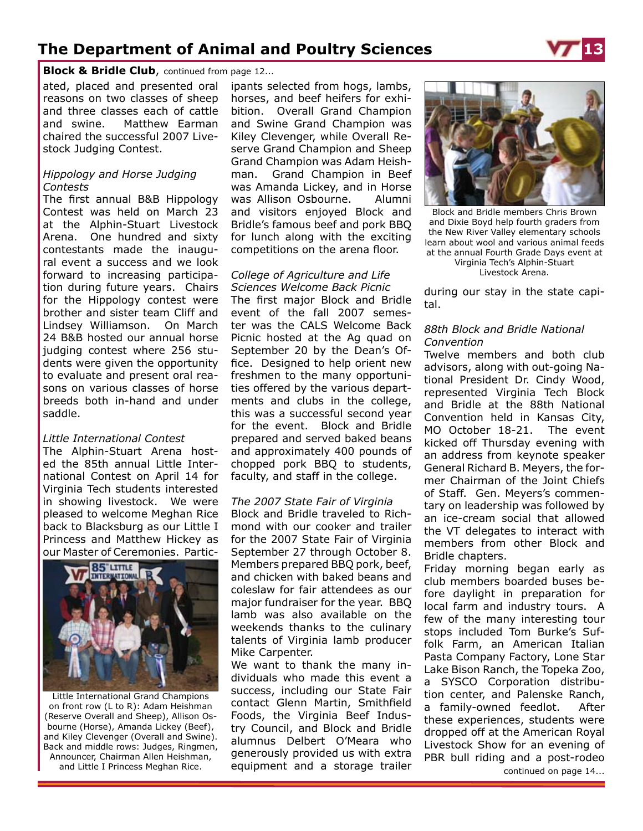**Block & Bridle Club**, continued from page 12...

ated, placed and presented oral reasons on two classes of sheep and three classes each of cattle and swine. Matthew Earman chaired the successful 2007 Livestock Judging Contest.

#### *Hippology and Horse Judging Contests*

The first annual B&B Hippology Contest was held on March 23 at the Alphin-Stuart Livestock Arena. One hundred and sixty contestants made the inaugural event a success and we look forward to increasing participation during future years. Chairs for the Hippology contest were brother and sister team Cliff and Lindsey Williamson. On March 24 B&B hosted our annual horse judging contest where 256 students were given the opportunity to evaluate and present oral reasons on various classes of horse breeds both in-hand and under saddle.

#### *Little International Contest*

The Alphin-Stuart Arena hosted the 85th annual Little International Contest on April 14 for Virginia Tech students interested in showing livestock. We were pleased to welcome Meghan Rice back to Blacksburg as our Little I Princess and Matthew Hickey as our Master of Ceremonies. Partic-



Little International Grand Champions on front row (L to R): Adam Heishman (Reserve Overall and Sheep), Allison Osbourne (Horse), Amanda Lickey (Beef), and Kiley Clevenger (Overall and Swine). Back and middle rows: Judges, Ringmen, Announcer, Chairman Allen Heishman,

ipants selected from hogs, lambs, horses, and beef heifers for exhibition. Overall Grand Champion and Swine Grand Champion was Kiley Clevenger, while Overall Reserve Grand Champion and Sheep Grand Champion was Adam Heishman. Grand Champion in Beef was Amanda Lickey, and in Horse was Allison Osbourne. Alumni and visitors enjoyed Block and Bridle's famous beef and pork BBQ for lunch along with the exciting competitions on the arena floor.

#### *College of Agriculture and Life Sciences Welcome Back Picnic*

The first major Block and Bridle event of the fall 2007 semester was the CALS Welcome Back Picnic hosted at the Ag quad on September 20 by the Dean's Office. Designed to help orient new freshmen to the many opportunities offered by the various departments and clubs in the college, this was a successful second year for the event. Block and Bridle prepared and served baked beans and approximately 400 pounds of chopped pork BBQ to students, faculty, and staff in the college.

#### *The 2007 State Fair of Virginia*

Block and Bridle traveled to Richmond with our cooker and trailer for the 2007 State Fair of Virginia September 27 through October 8. Members prepared BBQ pork, beef, and chicken with baked beans and coleslaw for fair attendees as our major fundraiser for the year. BBQ lamb was also available on the weekends thanks to the culinary talents of Virginia lamb producer Mike Carpenter.

We want to thank the many individuals who made this event a success, including our State Fair contact Glenn Martin, Smithfield Foods, the Virginia Beef Industry Council, and Block and Bridle alumnus Delbert O'Meara who generously provided us with extra and Little I Princess Meghan Rice. **Example 20 and Little I Princess Meghan Rice. continued on page 14... equipment and a storage trailer** 



Block and Bridle members Chris Brown and Dixie Boyd help fourth graders from the New River Valley elementary schools learn about wool and various animal feeds at the annual Fourth Grade Days event at Virginia Tech's Alphin-Stuart Livestock Arena.

during our stay in the state capital.

#### *88th Block and Bridle National Convention*

Twelve members and both club advisors, along with out-going National President Dr. Cindy Wood, represented Virginia Tech Block and Bridle at the 88th National Convention held in Kansas City, MO October 18-21. The event kicked off Thursday evening with an address from keynote speaker General Richard B. Meyers, the former Chairman of the Joint Chiefs of Staff. Gen. Meyers's commentary on leadership was followed by an ice-cream social that allowed the VT delegates to interact with members from other Block and Bridle chapters.

Friday morning began early as club members boarded buses before daylight in preparation for local farm and industry tours. A few of the many interesting tour stops included Tom Burke's Suffolk Farm, an American Italian Pasta Company Factory, Lone Star Lake Bison Ranch, the Topeka Zoo, a SYSCO Corporation distribution center, and Palenske Ranch, a family-owned feedlot. After these experiences, students were dropped off at the American Royal Livestock Show for an evening of PBR bull riding and a post-rodeo

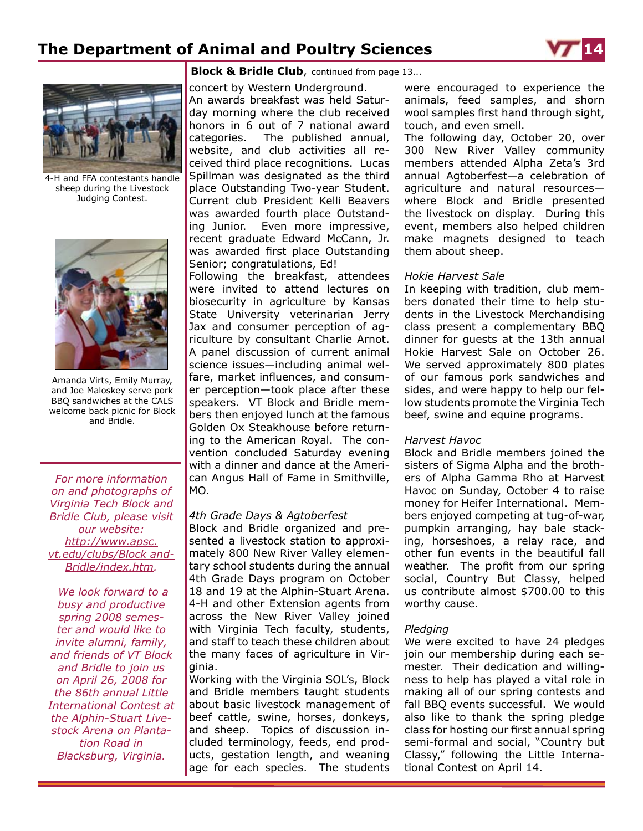



4-H and FFA contestants handle sheep during the Livestock Judging Contest.



Amanda Virts, Emily Murray, and Joe Maloskey serve pork BBQ sandwiches at the CALS welcome back picnic for Block and Bridle.

*For more information on and photographs of Virginia Tech Block and Bridle Club, please visit our website: http://www.apsc. vt.edu/clubs/Block and-Bridle/index.htm.* 

 *We look forward to a busy and productive spring 2008 semester and would like to invite alumni, family, and friends of VT Block and Bridle to join us on April 26, 2008 for the 86th annual Little International Contest at the Alphin-Stuart Livestock Arena on Plantation Road in Blacksburg, Virginia.*

#### **Block & Bridle Club**, continued from page 13...

concert by Western Underground. An awards breakfast was held Saturday morning where the club received honors in 6 out of 7 national award categories. The published annual, website, and club activities all received third place recognitions. Lucas Spillman was designated as the third place Outstanding Two-year Student. Current club President Kelli Beavers was awarded fourth place Outstanding Junior. Even more impressive, recent graduate Edward McCann, Jr. was awarded first place Outstanding Senior; congratulations, Ed! Following the breakfast, attendees were invited to attend lectures on biosecurity in agriculture by Kansas State University veterinarian Jerry Jax and consumer perception of agriculture by consultant Charlie Arnot. A panel discussion of current animal science issues—including animal welfare, market influences, and consumer perception—took place after these speakers. VT Block and Bridle members then enjoyed lunch at the famous Golden Ox Steakhouse before returning to the American Royal. The convention concluded Saturday evening with a dinner and dance at the American Angus Hall of Fame in Smithville, MO.

#### *4th Grade Days & Agtoberfest*

Block and Bridle organized and presented a livestock station to approximately 800 New River Valley elementary school students during the annual 4th Grade Days program on October 18 and 19 at the Alphin-Stuart Arena. 4-H and other Extension agents from across the New River Valley joined with Virginia Tech faculty, students, and staff to teach these children about the many faces of agriculture in Virginia.

Working with the Virginia SOL's, Block and Bridle members taught students about basic livestock management of beef cattle, swine, horses, donkeys, and sheep. Topics of discussion included terminology, feeds, end products, gestation length, and weaning age for each species. The students

were encouraged to experience the animals, feed samples, and shorn wool samples first hand through sight, touch, and even smell.

The following day, October 20, over 300 New River Valley community members attended Alpha Zeta's 3rd annual Agtoberfest—a celebration of agriculture and natural resources where Block and Bridle presented the livestock on display. During this event, members also helped children make magnets designed to teach them about sheep.

#### *Hokie Harvest Sale*

In keeping with tradition, club members donated their time to help students in the Livestock Merchandising class present a complementary BBQ dinner for guests at the 13th annual Hokie Harvest Sale on October 26. We served approximately 800 plates of our famous pork sandwiches and sides, and were happy to help our fellow students promote the Virginia Tech beef, swine and equine programs.

#### *Harvest Havoc*

Block and Bridle members joined the sisters of Sigma Alpha and the brothers of Alpha Gamma Rho at Harvest Havoc on Sunday, October 4 to raise money for Heifer International. Members enjoyed competing at tug-of-war, pumpkin arranging, hay bale stacking, horseshoes, a relay race, and other fun events in the beautiful fall weather. The profit from our spring social, Country But Classy, helped us contribute almost \$700.00 to this worthy cause.

#### *Pledging*

We were excited to have 24 pledges join our membership during each semester. Their dedication and willingness to help has played a vital role in making all of our spring contests and fall BBQ events successful. We would also like to thank the spring pledge class for hosting our first annual spring semi-formal and social, "Country but Classy," following the Little International Contest on April 14.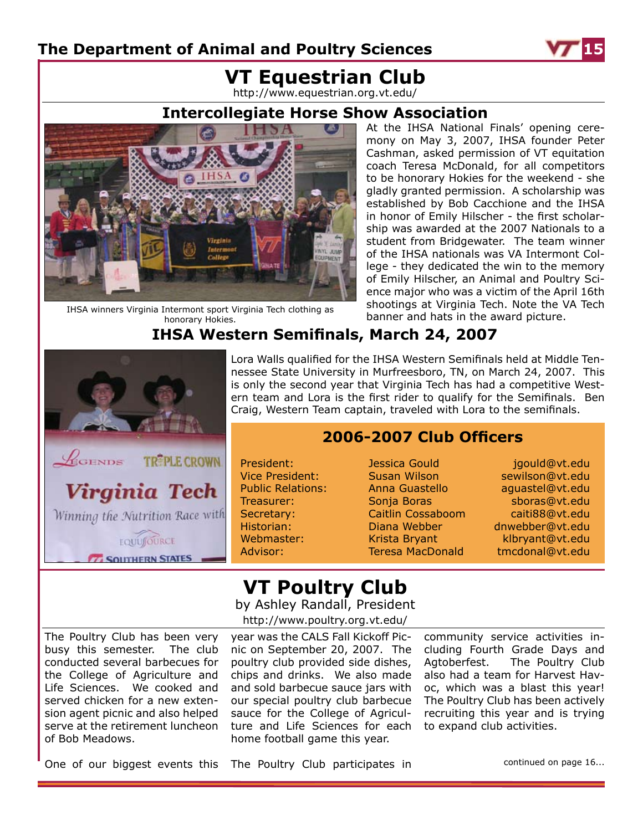

## **VT Equestrian Club**

http://www.equestrian.org.vt.edu/

### **Intercollegiate Horse Show Association**



IHSA winners Virginia Intermont sport Virginia Tech clothing as honorary Hokies.

At the IHSA National Finals' opening ceremony on May 3, 2007, IHSA founder Peter Cashman, asked permission of VT equitation coach Teresa McDonald, for all competitors to be honorary Hokies for the weekend - she gladly granted permission. A scholarship was established by Bob Cacchione and the IHSA in honor of Emily Hilscher - the first scholarship was awarded at the 2007 Nationals to a student from Bridgewater. The team winner of the IHSA nationals was VA Intermont College - they dedicated the win to the memory of Emily Hilscher, an Animal and Poultry Science major who was a victim of the April 16th shootings at Virginia Tech. Note the VA Tech banner and hats in the award picture.

### **IHSA Western Semifinals, March 24, 2007**



Lora Walls qualified for the IHSA Western Semifinals held at Middle Tennessee State University in Murfreesboro, TN, on March 24, 2007. This is only the second year that Virginia Tech has had a competitive Western team and Lora is the first rider to qualify for the Semifinals. Ben Craig, Western Team captain, traveled with Lora to the semifinals.

### **2006-2007 Club Officers**

President: Jessica Gould igould@vt.edu

Vice President: Susan Wilson sewilson@vt.edu Public Relations: Anna Guastello aguastel@vt.edu Treasurer: Sonja Boras sboras@vt.edu Secretary: Caitlin Cossaboom caiti88@vt.edu Historian: Diana Webber dnwebber@vt.edu Webmaster: Krista Bryant Klbryant@vt.edu Advisor: Teresa MacDonald tmcdonal@vt.edu

# **VT Poultry Club**

by Ashley Randall, President

http://www.poultry.org.vt.edu/

The Poultry Club has been very busy this semester. The club conducted several barbecues for the College of Agriculture and Life Sciences. We cooked and served chicken for a new extension agent picnic and also helped serve at the retirement luncheon of Bob Meadows.

year was the CALS Fall Kickoff Picnic on September 20, 2007. The poultry club provided side dishes, chips and drinks. We also made and sold barbecue sauce jars with our special poultry club barbecue sauce for the College of Agriculture and Life Sciences for each home football game this year.

community service activities including Fourth Grade Days and Agtoberfest. The Poultry Club also had a team for Harvest Havoc, which was a blast this year! The Poultry Club has been actively recruiting this year and is trying to expand club activities.

One of our biggest events this The Poultry Club participates in

continued on page 16...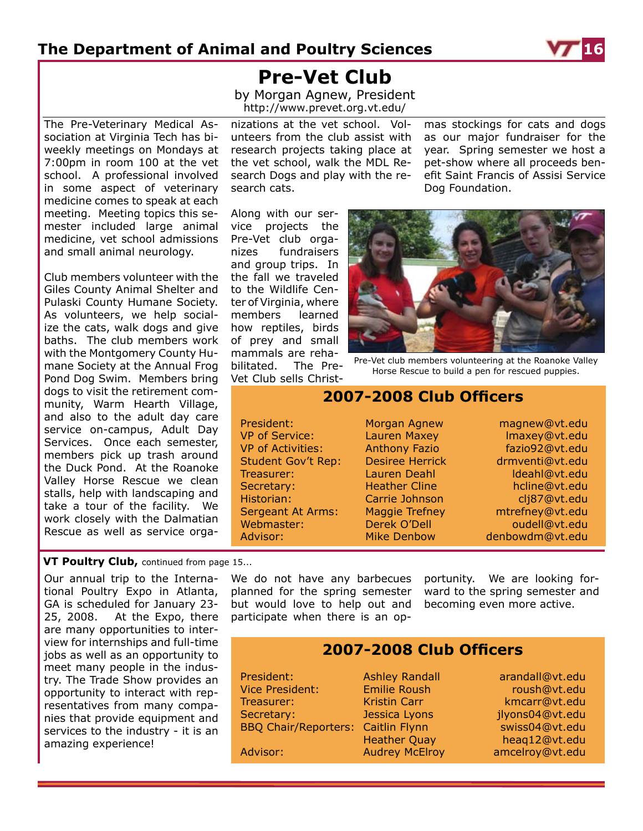

**Pre-Vet Club**

by Morgan Agnew, President http://www.prevet.org.vt.edu/

The Pre-Veterinary Medical Association at Virginia Tech has biweekly meetings on Mondays at 7:00pm in room 100 at the vet school. A professional involved in some aspect of veterinary medicine comes to speak at each meeting. Meeting topics this semester included large animal medicine, vet school admissions and small animal neurology.

Club members volunteer with the Giles County Animal Shelter and Pulaski County Humane Society. As volunteers, we help socialize the cats, walk dogs and give baths. The club members work with the Montgomery County Humane Society at the Annual Frog Pond Dog Swim. Members bring dogs to visit the retirement community, Warm Hearth Village, and also to the adult day care service on-campus, Adult Day Services. Once each semester, members pick up trash around the Duck Pond. At the Roanoke Valley Horse Rescue we clean stalls, help with landscaping and take a tour of the facility. We work closely with the Dalmatian Rescue as well as service orga-

nizations at the vet school. Volunteers from the club assist with research projects taking place at the vet school, walk the MDL Research Dogs and play with the research cats.

Along with our service projects the Pre-Vet club organizes fundraisers and group trips. In the fall we traveled to the Wildlife Center of Virginia, where members learned how reptiles, birds of prey and small mammals are rehabilitated. The Pre-Vet Club sells Christmas stockings for cats and dogs as our major fundraiser for the year. Spring semester we host a pet-show where all proceeds benefit Saint Francis of Assisi Service Dog Foundation.



Pre-Vet club members volunteering at the Roanoke Valley Horse Rescue to build a pen for rescued puppies.

### **2007-2008 Club Officers**

President: Morgan Agnew magnew@vt.edu VP of Service: Lauren Maxey Maxey Maxey Reservedu VP of Activities: Anthony Fazio Fazio92@vt.edu Student Gov't Rep: Desiree Herrick drmventi@vt.edu Treasurer: Lauren Deahl ldeahl@vt.edu Secretary: Heather Cline hcline@vt.edu Historian: Carrie Johnson clj87@vt.edu Sergeant At Arms: Maggie Trefney mtrefney@vt.edu Webmaster: Derek O'Dell oudell@vt.edu

Advisor: Mike Denbow denbowdm@vt.edu

#### **VT Poultry Club,** continued from page 15...

Our annual trip to the International Poultry Expo in Atlanta, GA is scheduled for January 23- 25, 2008. At the Expo, there are many opportunities to interview for internships and full-time jobs as well as an opportunity to meet many people in the industry. The Trade Show provides an opportunity to interact with representatives from many companies that provide equipment and services to the industry - it is an amazing experience!

We do not have any barbecues planned for the spring semester but would love to help out and participate when there is an op-

portunity. We are looking forward to the spring semester and becoming even more active.

### **2007-2008 Club Officers**

Vice President: Emilie Roush and the roush@vt.edu Treasurer: Kristin Carr kmcarr@vt.edu Secretary: Jessica Lyons illyons04@vt.edu BBQ Chair/Reporters: Caitlin Flynn swiss04@vt.edu

President: Ashley Randall arandall@vt.edu Heather Quay heaq12@vt.edu Advisor: Audrey McElroy amcelroy@vt.edu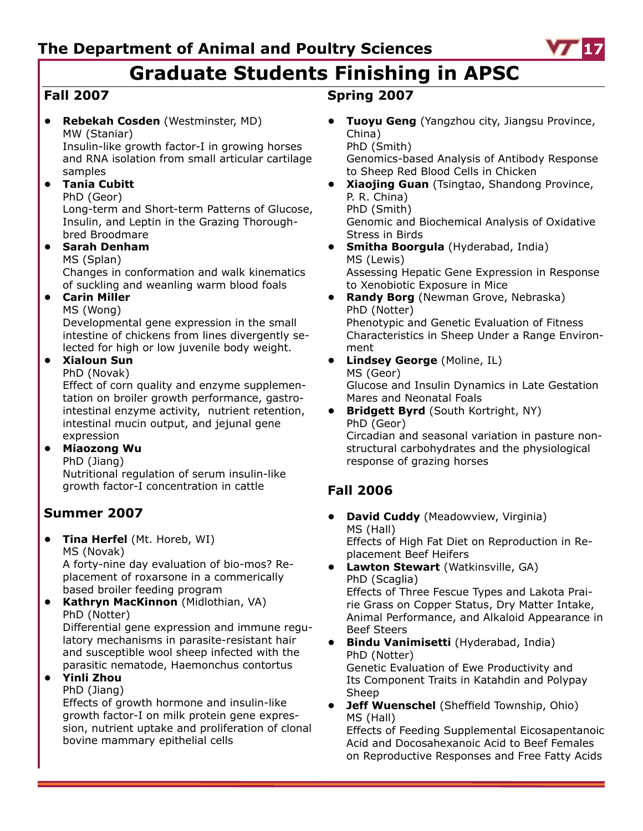

# **Graduate Students Finishing in APSC**

## **Fall 2007**

**• Rebekah Cosden** (Westminster, MD) MW (Staniar)

Insulin-like growth factor-I in growing horses and RNA isolation from small articular cartilage samples

### **• Tania Cubitt**

### PhD (Geor)

Long-term and Short-term Patterns of Glucose, Insulin, and Leptin in the Grazing Thoroughbred Broodmare

### **• Sarah Denham**

MS (Splan) Changes in conformation and walk kinematics of suckling and weanling warm blood foals

### **• Carin Miller**

MS (Wong)

Developmental gene expression in the small intestine of chickens from lines divergently selected for high or low juvenile body weight.

### **• Xialoun Sun**

PhD (Novak)

Effect of corn quality and enzyme supplementation on broiler growth performance, gastrointestinal enzyme activity, nutrient retention, intestinal mucin output, and jejunal gene expression

#### **• Miaozong Wu**

#### PhD (Jiang)

Nutritional regulation of serum insulin-like growth factor-I concentration in cattle

### **Summer 2007**

**• Tina Herfel** (Mt. Horeb, WI) MS (Novak)

A forty-nine day evaluation of bio-mos? Replacement of roxarsone in a commerically based broiler feeding program

**• Kathryn MacKinnon** (Midlothian, VA) PhD (Notter) Differential gene expression and immune regulatory mechanisms in parasite-resistant hair and susceptible wool sheep infected with the parasitic nematode, Haemonchus contortus

#### **• Yinli Zhou**

#### PhD (Jiang)

Effects of growth hormone and insulin-like growth factor-I on milk protein gene expression, nutrient uptake and proliferation of clonal bovine mammary epithelial cells

### **Spring 2007**

**• Tuoyu Geng** (Yangzhou city, Jiangsu Province, China) PhD (Smith)

Genomics-based Analysis of Antibody Response to Sheep Red Blood Cells in Chicken

- **• Xiaojing Guan** (Tsingtao, Shandong Province, P. R. China) PhD (Smith) Genomic and Biochemical Analysis of Oxidative Stress in Birds
- **• Smitha Boorgula** (Hyderabad, India) MS (Lewis) Assessing Hepatic Gene Expression in Response to Xenobiotic Exposure in Mice
- **• Randy Borg** (Newman Grove, Nebraska) PhD (Notter) Phenotypic and Genetic Evaluation of Fitness Characteristics in Sheep Under a Range Environment
- **• Lindsey George** (Moline, IL) MS (Geor) Glucose and Insulin Dynamics in Late Gestation Mares and Neonatal Foals
- **• Bridgett Byrd** (South Kortright, NY) PhD (Geor) Circadian and seasonal variation in pasture nonstructural carbohydrates and the physiological response of grazing horses

## **Fall 2006**

- **• David Cuddy** (Meadowview, Virginia) MS (Hall) Effects of High Fat Diet on Reproduction in Replacement Beef Heifers
- **• Lawton Stewart** (Watkinsville, GA) PhD (Scaglia) Effects of Three Fescue Types and Lakota Prairie Grass on Copper Status, Dry Matter Intake, Animal Performance, and Alkaloid Appearance in Beef Steers
- **• Bindu Vanimisetti** (Hyderabad, India) PhD (Notter) Genetic Evaluation of Ewe Productivity and Its Component Traits in Katahdin and Polypay Sheep
- **• Jeff Wuenschel** (Sheffield Township, Ohio) MS (Hall)

Effects of Feeding Supplemental Eicosapentanoic Acid and Docosahexanoic Acid to Beef Females on Reproductive Responses and Free Fatty Acids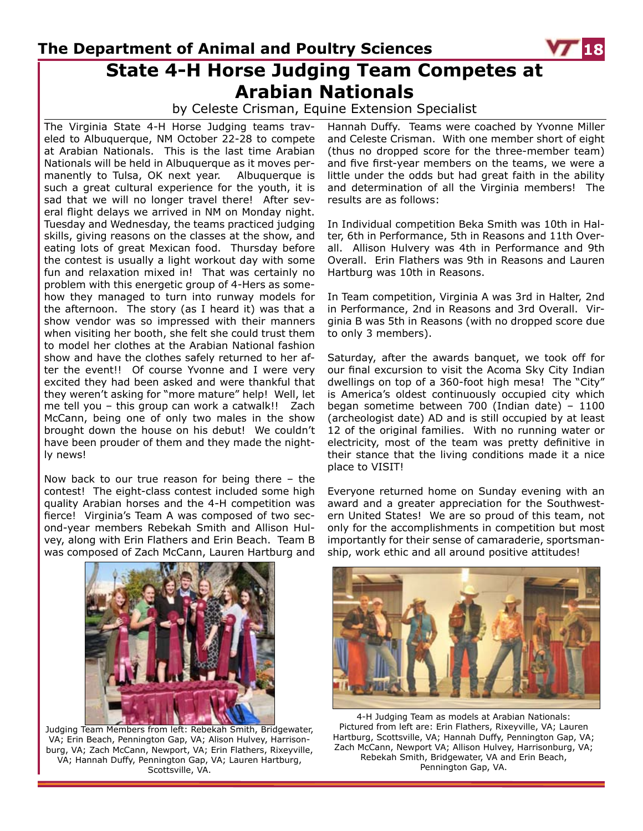## **The Department of Animal and Poultry Sciences State 4-H Horse Judging Team Competes at Arabian Nationals**

by Celeste Crisman, Equine Extension Specialist

The Virginia State 4-H Horse Judging teams traveled to Albuquerque, NM October 22-28 to compete at Arabian Nationals. This is the last time Arabian Nationals will be held in Albuquerque as it moves permanently to Tulsa, OK next year. Albuquerque is such a great cultural experience for the youth, it is sad that we will no longer travel there! After several flight delays we arrived in NM on Monday night. Tuesday and Wednesday, the teams practiced judging skills, giving reasons on the classes at the show, and eating lots of great Mexican food. Thursday before the contest is usually a light workout day with some fun and relaxation mixed in! That was certainly no problem with this energetic group of 4-Hers as somehow they managed to turn into runway models for the afternoon. The story (as I heard it) was that a show vendor was so impressed with their manners when visiting her booth, she felt she could trust them to model her clothes at the Arabian National fashion show and have the clothes safely returned to her after the event!! Of course Yvonne and I were very excited they had been asked and were thankful that they weren't asking for "more mature" help! Well, let me tell you – this group can work a catwalk!! Zach McCann, being one of only two males in the show brought down the house on his debut! We couldn't have been prouder of them and they made the nightly news!

Now back to our true reason for being there – the contest! The eight-class contest included some high quality Arabian horses and the 4-H competition was fierce! Virginia's Team A was composed of two second-year members Rebekah Smith and Allison Hulvey, along with Erin Flathers and Erin Beach. Team B was composed of Zach McCann, Lauren Hartburg and



Judging Team Members from left: Rebekah Smith, Bridgewater, VA; Erin Beach, Pennington Gap, VA; Alison Hulvey, Harrisonburg, VA; Zach McCann, Newport, VA; Erin Flathers, Rixeyville, VA; Hannah Duffy, Pennington Gap, VA; Lauren Hartburg, Scottsville, VA.

Hannah Duffy. Teams were coached by Yvonne Miller and Celeste Crisman. With one member short of eight (thus no dropped score for the three-member team) and five first-year members on the teams, we were a little under the odds but had great faith in the ability and determination of all the Virginia members! The results are as follows:

In Individual competition Beka Smith was 10th in Halter, 6th in Performance, 5th in Reasons and 11th Overall. Allison Hulvery was 4th in Performance and 9th Overall. Erin Flathers was 9th in Reasons and Lauren Hartburg was 10th in Reasons.

In Team competition, Virginia A was 3rd in Halter, 2nd in Performance, 2nd in Reasons and 3rd Overall. Virginia B was 5th in Reasons (with no dropped score due to only 3 members).

Saturday, after the awards banquet, we took off for our final excursion to visit the Acoma Sky City Indian dwellings on top of a 360-foot high mesa! The "City" is America's oldest continuously occupied city which began sometime between 700 (Indian date) – 1100 (archeologist date) AD and is still occupied by at least 12 of the original families. With no running water or electricity, most of the team was pretty definitive in their stance that the living conditions made it a nice place to VISIT!

Everyone returned home on Sunday evening with an award and a greater appreciation for the Southwestern United States! We are so proud of this team, not only for the accomplishments in competition but most importantly for their sense of camaraderie, sportsmanship, work ethic and all around positive attitudes!



4-H Judging Team as models at Arabian Nationals: Pictured from left are: Erin Flathers, Rixeyville, VA; Lauren Hartburg, Scottsville, VA; Hannah Duffy, Pennington Gap, VA; Zach McCann, Newport VA; Allison Hulvey, Harrisonburg, VA; Rebekah Smith, Bridgewater, VA and Erin Beach, Pennington Gap, VA.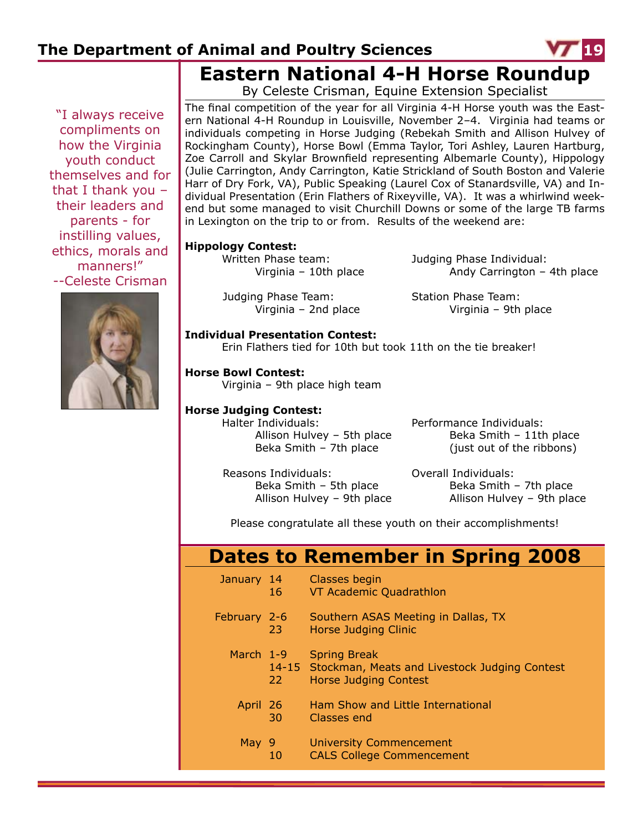

**Eastern National 4-H Horse Roundup**

"I always receive compliments on how the Virginia youth conduct themselves and for that I thank you – their leaders and parents - for instilling values, ethics, morals and manners!" --Celeste Crisman



By Celeste Crisman, Equine Extension Specialist

The final competition of the year for all Virginia 4-H Horse youth was the Eastern National 4-H Roundup in Louisville, November 2–4. Virginia had teams or individuals competing in Horse Judging (Rebekah Smith and Allison Hulvey of Rockingham County), Horse Bowl (Emma Taylor, Tori Ashley, Lauren Hartburg, Zoe Carroll and Skylar Brownfield representing Albemarle County), Hippology (Julie Carrington, Andy Carrington, Katie Strickland of South Boston and Valerie Harr of Dry Fork, VA), Public Speaking (Laurel Cox of Stanardsville, VA) and Individual Presentation (Erin Flathers of Rixeyville, VA). It was a whirlwind weekend but some managed to visit Churchill Downs or some of the large TB farms in Lexington on the trip to or from. Results of the weekend are:

#### **Hippology Contest:**

Judging Phase Team: Station Phase Team:

 Written Phase team: Judging Phase Individual: Virginia – 10th place Andy Carrington – 4th place

Virginia – 2nd place Virginia – 9th place

#### **Individual Presentation Contest:**

Erin Flathers tied for 10th but took 11th on the tie breaker!

#### **Horse Bowl Contest:**

Virginia – 9th place high team

#### **Horse Judging Contest:**

Halter Individuals: Performance Individuals:

Allison Hulvey – 5th place  $Beka S$ mith – 11th place Beka Smith – 7th place (just out of the ribbons)

Reasons Individuals: Overall Individuals:

Beka Smith – 5th place  $Beka$  Smith – 7th place Allison Hulvey – 9th place Allison Hulvey – 9th place

Please congratulate all these youth on their accomplishments!

## **Dates to Remember in Spring 2008**

| January 14   | 16 | Classes begin<br>VT Academic Quadrathlon                                                                   |
|--------------|----|------------------------------------------------------------------------------------------------------------|
| February 2-6 | 23 | Southern ASAS Meeting in Dallas, TX<br>Horse Judging Clinic                                                |
| March 1-9    | 22 | <b>Spring Break</b><br>14-15 Stockman, Meats and Livestock Judging Contest<br><b>Horse Judging Contest</b> |
| April 26     | 30 | Ham Show and Little International<br>Classes end                                                           |
| May 9        | 10 | <b>University Commencement</b><br><b>CALS College Commencement</b>                                         |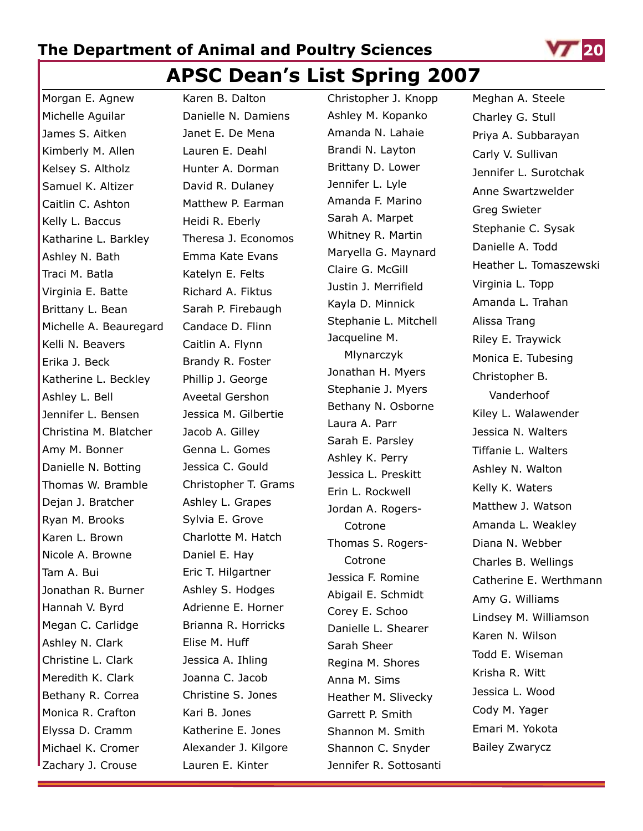## **APSC Dean's List Spring 2007**

Morgan E. Agnew Michelle Aguilar James S. Aitken Kimberly M. Allen Kelsey S. Altholz Samuel K. Altizer Caitlin C. Ashton Kelly L. Baccus Katharine L. Barkley Ashley N. Bath Traci M. Batla Virginia E. Batte Brittany L. Bean Michelle A. Beauregard Kelli N. Beavers Erika J. Beck Katherine L. Beckley Ashley L. Bell Jennifer L. Bensen Christina M. Blatcher Amy M. Bonner Danielle N. Botting Thomas W. Bramble Dejan J. Bratcher Ryan M. Brooks Karen L. Brown Nicole A. Browne Tam A. Bui Jonathan R. Burner Hannah V. Byrd Megan C. Carlidge Ashley N. Clark Christine L. Clark Meredith K. Clark Bethany R. Correa Monica R. Crafton Elyssa D. Cramm Michael K. Cromer Zachary J. Crouse

Karen B. Dalton Danielle N. Damiens Janet E. De Mena Lauren E. Deahl Hunter A. Dorman David R. Dulaney Matthew P. Earman Heidi R. Eberly Theresa J. Economos Emma Kate Evans Katelyn E. Felts Richard A. Fiktus Sarah P. Firebaugh Candace D. Flinn Caitlin A. Flynn Brandy R. Foster Phillip J. George Aveetal Gershon Jessica M. Gilbertie Jacob A. Gilley Genna L. Gomes Jessica C. Gould Christopher T. Grams Ashley L. Grapes Sylvia E. Grove Charlotte M. Hatch Daniel E. Hay Eric T. Hilgartner Ashley S. Hodges Adrienne E. Horner Brianna R. Horricks Elise M. Huff Jessica A. Ihling Joanna C. Jacob Christine S. Jones Kari B. Jones Katherine E. Jones Alexander J. Kilgore Lauren E. Kinter

Christopher J. Knopp Ashley M. Kopanko Amanda N. Lahaie Brandi N. Layton Brittany D. Lower Jennifer L. Lyle Amanda F. Marino Sarah A. Marpet Whitney R. Martin Maryella G. Maynard Claire G. McGill Justin J. Merrifield Kayla D. Minnick Stephanie L. Mitchell Jacqueline M. Mlynarczyk Jonathan H. Myers Stephanie J. Myers Bethany N. Osborne Laura A. Parr Sarah E. Parsley Ashley K. Perry Jessica L. Preskitt Erin L. Rockwell Jordan A. Rogers-Cotrone

Cotrone

Corey E. Schoo

Sarah Sheer

Anna M. Sims

Thomas S. Rogers-Jessica F. Romine Abigail E. Schmidt Danielle L. Shearer Regina M. Shores Heather M. Slivecky Garrett P. Smith Shannon M. Smith Shannon C. Snyder Jennifer R. Sottosanti



Meghan A. Steele Charley G. Stull Priya A. Subbarayan Carly V. Sullivan Jennifer L. Surotchak Anne Swartzwelder Greg Swieter Stephanie C. Sysak Danielle A. Todd Heather L. Tomaszewski Virginia L. Topp Amanda L. Trahan Alissa Trang Riley E. Traywick Monica E. Tubesing Christopher B. Vanderhoof Kiley L. Walawender Jessica N. Walters Tiffanie L. Walters Ashley N. Walton Kelly K. Waters Matthew J. Watson Amanda L. Weakley Diana N. Webber Charles B. Wellings Catherine E. Werthmann Amy G. Williams Lindsey M. Williamson Karen N. Wilson Todd E. Wiseman Krisha R. Witt Jessica L. Wood Cody M. Yager Emari M. Yokota Bailey Zwarycz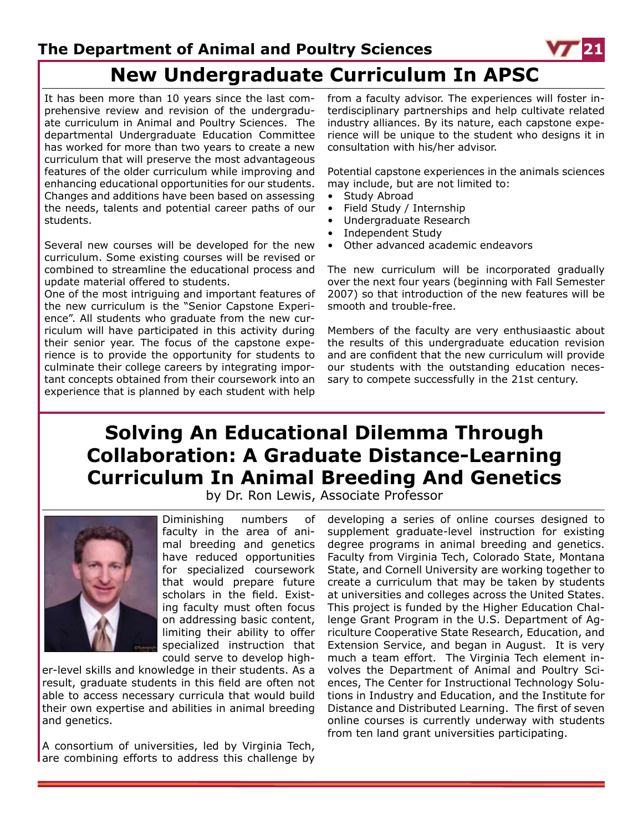

# **New Undergraduate Curriculum In APSC**

It has been more than 10 years since the last comprehensive review and revision of the undergraduate curriculum in Animal and Poultry Sciences. The departmental Undergraduate Education Committee has worked for more than two years to create a new curriculum that will preserve the most advantageous features of the older curriculum while improving and enhancing educational opportunities for our students. Changes and additions have been based on assessing the needs, talents and potential career paths of our students.

Several new courses will be developed for the new curriculum. Some existing courses will be revised or combined to streamline the educational process and update material offered to students.

One of the most intriguing and important features of the new curriculum is the "Senior Capstone Experience". All students who graduate from the new curriculum will have participated in this activity during their senior year. The focus of the capstone experience is to provide the opportunity for students to culminate their college careers by integrating important concepts obtained from their coursework into an experience that is planned by each student with help

from a faculty advisor. The experiences will foster interdisciplinary partnerships and help cultivate related industry alliances. By its nature, each capstone experience will be unique to the student who designs it in consultation with his/her advisor.

Potential capstone experiences in the animals sciences may include, but are not limited to:

- Study Abroad
- Field Study / Internship
- Undergraduate Research
- Independent Study
- Other advanced academic endeavors

The new curriculum will be incorporated gradually over the next four years (beginning with Fall Semester 2007) so that introduction of the new features will be smooth and trouble-free.

Members of the faculty are very enthusiaastic about the results of this undergraduate education revision and are confident that the new curriculum will provide our students with the outstanding education necessary to compete successfully in the 21st century.

# **Solving An Educational Dilemma Through Collaboration: A Graduate Distance-Learning Curriculum In Animal Breeding And Genetics**

by Dr. Ron Lewis, Associate Professor



Diminishing numbers of faculty in the area of animal breeding and genetics have reduced opportunities for specialized coursework that would prepare future scholars in the field. Existing faculty must often focus on addressing basic content, limiting their ability to offer specialized instruction that could serve to develop high-

er-level skills and knowledge in their students. As a result, graduate students in this field are often not able to access necessary curricula that would build their own expertise and abilities in animal breeding and genetics.

A consortium of universities, led by Virginia Tech, are combining efforts to address this challenge by developing a series of online courses designed to supplement graduate-level instruction for existing degree programs in animal breeding and genetics. Faculty from Virginia Tech, Colorado State, Montana State, and Cornell University are working together to create a curriculum that may be taken by students at universities and colleges across the United States. This project is funded by the Higher Education Challenge Grant Program in the U.S. Department of Agriculture Cooperative State Research, Education, and Extension Service, and began in August. It is very much a team effort. The Virginia Tech element involves the Department of Animal and Poultry Sciences, The Center for Instructional Technology Solutions in Industry and Education, and the Institute for Distance and Distributed Learning. The first of seven online courses is currently underway with students from ten land grant universities participating.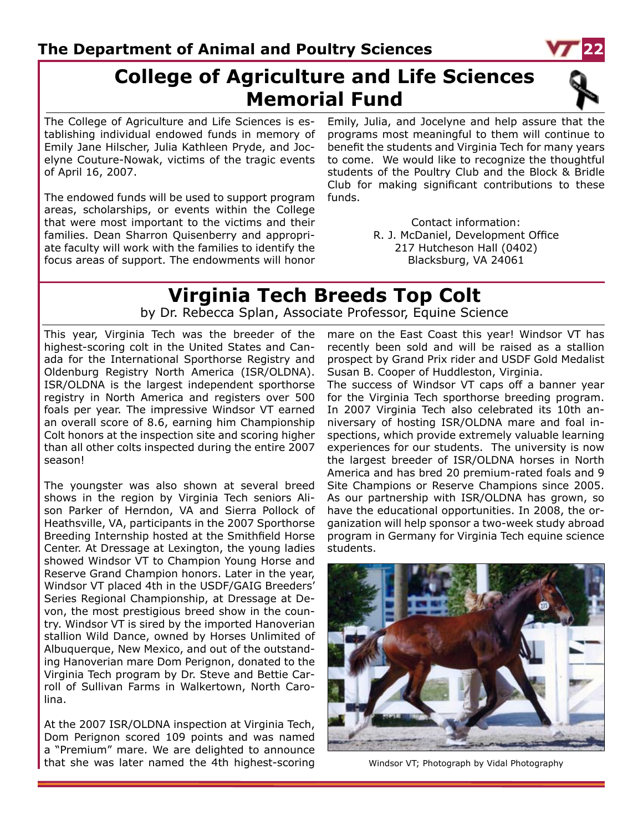## **College of Agriculture and Life Sciences Memorial Fund**

The College of Agriculture and Life Sciences is establishing individual endowed funds in memory of Emily Jane Hilscher, Julia Kathleen Pryde, and Jocelyne Couture-Nowak, victims of the tragic events of April 16, 2007.

The endowed funds will be used to support program areas, scholarships, or events within the College that were most important to the victims and their families. Dean Sharron Quisenberry and appropriate faculty will work with the families to identify the focus areas of support. The endowments will honor

Emily, Julia, and Jocelyne and help assure that the programs most meaningful to them will continue to benefit the students and Virginia Tech for many years to come. We would like to recognize the thoughtful students of the Poultry Club and the Block & Bridle Club for making significant contributions to these funds.

> Contact information: R. J. McDaniel, Development Office 217 Hutcheson Hall (0402) Blacksburg, VA 24061

### **Virginia Tech Breeds Top Colt** by Dr. Rebecca Splan, Associate Professor, Equine Science

This year, Virginia Tech was the breeder of the highest-scoring colt in the United States and Canada for the International Sporthorse Registry and Oldenburg Registry North America (ISR/OLDNA). ISR/OLDNA is the largest independent sporthorse registry in North America and registers over 500 foals per year. The impressive Windsor VT earned an overall score of 8.6, earning him Championship Colt honors at the inspection site and scoring higher than all other colts inspected during the entire 2007 season!

The youngster was also shown at several breed shows in the region by Virginia Tech seniors Alison Parker of Herndon, VA and Sierra Pollock of Heathsville, VA, participants in the 2007 Sporthorse Breeding Internship hosted at the Smithfield Horse Center. At Dressage at Lexington, the young ladies showed Windsor VT to Champion Young Horse and Reserve Grand Champion honors. Later in the year, Windsor VT placed 4th in the USDF/GAIG Breeders' Series Regional Championship, at Dressage at Devon, the most prestigious breed show in the country. Windsor VT is sired by the imported Hanoverian stallion Wild Dance, owned by Horses Unlimited of Albuquerque, New Mexico, and out of the outstanding Hanoverian mare Dom Perignon, donated to the Virginia Tech program by Dr. Steve and Bettie Carroll of Sullivan Farms in Walkertown, North Carolina.

At the 2007 ISR/OLDNA inspection at Virginia Tech, Dom Perignon scored 109 points and was named a "Premium" mare. We are delighted to announce that she was later named the 4th highest-scoring

mare on the East Coast this year! Windsor VT has recently been sold and will be raised as a stallion prospect by Grand Prix rider and USDF Gold Medalist Susan B. Cooper of Huddleston, Virginia.

The success of Windsor VT caps off a banner year for the Virginia Tech sporthorse breeding program. In 2007 Virginia Tech also celebrated its 10th anniversary of hosting ISR/OLDNA mare and foal inspections, which provide extremely valuable learning experiences for our students. The university is now the largest breeder of ISR/OLDNA horses in North America and has bred 20 premium-rated foals and 9 Site Champions or Reserve Champions since 2005. As our partnership with ISR/OLDNA has grown, so have the educational opportunities. In 2008, the organization will help sponsor a two-week study abroad program in Germany for Virginia Tech equine science students.



Windsor VT; Photograph by Vidal Photography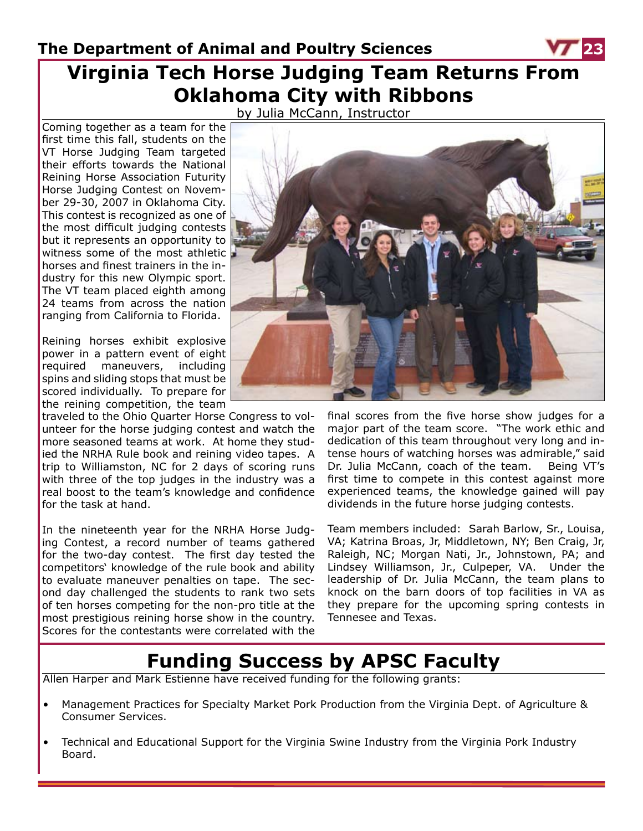# **Virginia Tech Horse Judging Team Returns From Oklahoma City with Ribbons**

by Julia McCann, Instructor

Coming together as a team for the first time this fall, students on the VT Horse Judging Team targeted their efforts towards the National Reining Horse Association Futurity Horse Judging Contest on November 29-30, 2007 in Oklahoma City. This contest is recognized as one of the most difficult judging contests but it represents an opportunity to witness some of the most athletic horses and finest trainers in the industry for this new Olympic sport. The VT team placed eighth among 24 teams from across the nation ranging from California to Florida.

Reining horses exhibit explosive power in a pattern event of eight required maneuvers, including spins and sliding stops that must be scored individually. To prepare for the reining competition, the team

traveled to the Ohio Quarter Horse Congress to volunteer for the horse judging contest and watch the more seasoned teams at work. At home they studied the NRHA Rule book and reining video tapes. A trip to Williamston, NC for 2 days of scoring runs with three of the top judges in the industry was a real boost to the team's knowledge and confidence for the task at hand.

In the nineteenth year for the NRHA Horse Judging Contest, a record number of teams gathered for the two-day contest. The first day tested the competitors' knowledge of the rule book and ability to evaluate maneuver penalties on tape. The second day challenged the students to rank two sets of ten horses competing for the non-pro title at the most prestigious reining horse show in the country. Scores for the contestants were correlated with the

![](_page_22_Picture_7.jpeg)

final scores from the five horse show judges for a major part of the team score. "The work ethic and dedication of this team throughout very long and intense hours of watching horses was admirable," said Dr. Julia McCann, coach of the team. Being VT's first time to compete in this contest against more experienced teams, the knowledge gained will pay dividends in the future horse judging contests.

Team members included: Sarah Barlow, Sr., Louisa, VA; Katrina Broas, Jr, Middletown, NY; Ben Craig, Jr, Raleigh, NC; Morgan Nati, Jr., Johnstown, PA; and Lindsey Williamson, Jr., Culpeper, VA. Under the leadership of Dr. Julia McCann, the team plans to knock on the barn doors of top facilities in VA as they prepare for the upcoming spring contests in Tennesee and Texas.

# **Funding Success by APSC Faculty**

Allen Harper and Mark Estienne have received funding for the following grants:

- Management Practices for Specialty Market Pork Production from the Virginia Dept. of Agriculture & Consumer Services.
- Technical and Educational Support for the Virginia Swine Industry from the Virginia Pork Industry Board.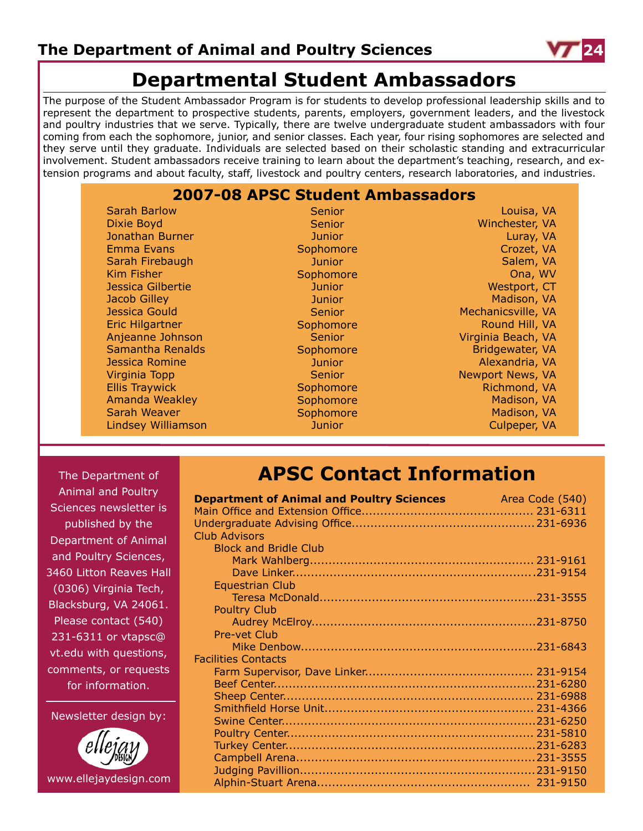![](_page_23_Picture_1.jpeg)

# **Departmental Student Ambassadors**

The purpose of the Student Ambassador Program is for students to develop professional leadership skills and to represent the department to prospective students, parents, employers, government leaders, and the livestock and poultry industries that we serve. Typically, there are twelve undergraduate student ambassadors with four coming from each the sophomore, junior, and senior classes. Each year, four rising sophomores are selected and they serve until they graduate. Individuals are selected based on their scholastic standing and extracurricular involvement. Student ambassadors receive training to learn about the department's teaching, research, and extension programs and about faculty, staff, livestock and poultry centers, research laboratories, and industries.

### **2007-08 APSC Student Ambassadors**

Sarah Barlow Dixie Boyd Jonathan Burner Emma Evans Sarah Firebaugh Kim Fisher Jessica Gilbertie Jacob Gilley Jessica Gould Eric Hilgartner Anjeanne Johnson Samantha Renalds Jessica Romine Virginia Topp Ellis Traywick Amanda Weakley Sarah Weaver Lindsey Williamson

Senior Senior **Junior Sophomore Junior Sophomore** Junior **Junior** Senior **Sophomore** Senior Sophomore **Junior Senior Sophomore** Sophomore Sophomore **Junior** 

Louisa, VA Winchester, VA Luray, VA Crozet, VA Salem, VA Ona, WV Westport, CT Madison, VA Mechanicsville, VA Round Hill, VA Virginia Beach, VA Bridgewater, VA Alexandria, VA Newport News, VA Richmond, VA Madison, VA Madison, VA Culpeper, VA

The Department of Animal and Poultry Sciences newsletter is published by the Department of Animal and Poultry Sciences, 3460 Litton Reaves Hall (0306) Virginia Tech, Blacksburg, VA 24061. Please contact (540) 231-6311 or vtapsc@ vt.edu with questions, comments, or requests for information.

Newsletter design by:

![](_page_23_Picture_10.jpeg)

# **APSC Contact Information**

| <b>Department of Animal and Poultry Sciences</b> Area Code (540) |  |
|------------------------------------------------------------------|--|
|                                                                  |  |
|                                                                  |  |
| <b>Club Advisors</b>                                             |  |
| <b>Block and Bridle Club</b>                                     |  |
|                                                                  |  |
|                                                                  |  |
| <b>Equestrian Club</b>                                           |  |
|                                                                  |  |
| <b>Poultry Club</b>                                              |  |
|                                                                  |  |
| <b>Pre-vet Club</b>                                              |  |
|                                                                  |  |
| <b>Facilities Contacts</b>                                       |  |
|                                                                  |  |
|                                                                  |  |
|                                                                  |  |
|                                                                  |  |
|                                                                  |  |
|                                                                  |  |
|                                                                  |  |
|                                                                  |  |
|                                                                  |  |
|                                                                  |  |